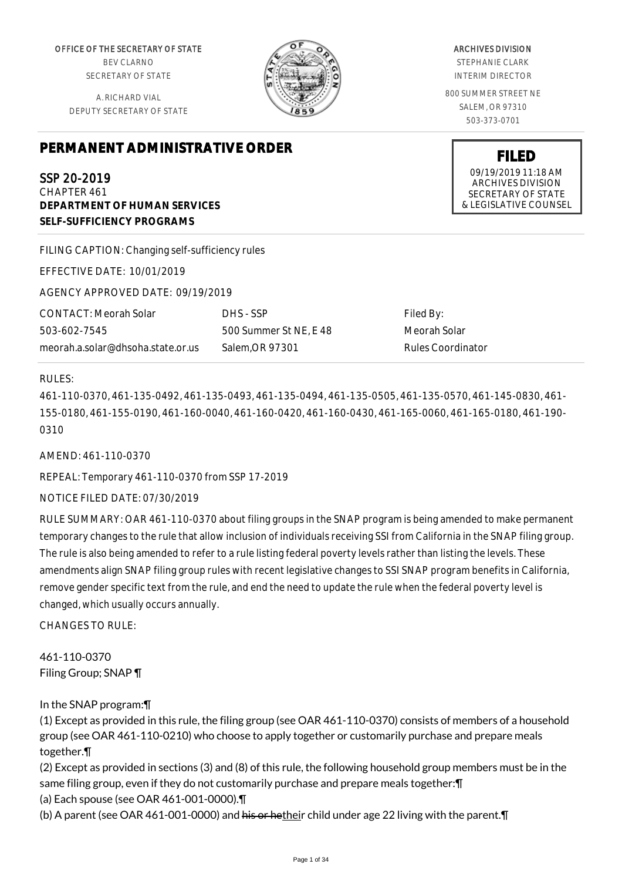OFFICE OF THE SECRETARY OF STATE BEV CLARNO SECRETARY OF STATE

A. RICHARD VIAL DEPUTY SECRETARY OF STATE

# **PERMANENT ADMINISTRATIVE ORDER**

SSP 20-2019

CHAPTER 461 **DEPARTMENT OF HUMAN SERVICES SELF-SUFFICIENCY PROGRAMS**

FILING CAPTION: Changing self-sufficiency rules

EFFECTIVE DATE: 10/01/2019

AGENCY APPROVED DATE: 09/19/2019

CONTACT: Meorah Solar 503-602-7545 meorah.a.solar@dhsoha.state.or.us DHS - SSP 500 Summer St NE, E 48 Salem,OR 97301

Filed By: Meorah Solar Rules Coordinator

# RULES:

461-110-0370, 461-135-0492, 461-135-0493, 461-135-0494, 461-135-0505, 461-135-0570, 461-145-0830, 461- 155-0180, 461-155-0190, 461-160-0040, 461-160-0420, 461-160-0430, 461-165-0060, 461-165-0180, 461-190- 0310

AMEND: 461-110-0370

REPEAL: Temporary 461-110-0370 from SSP 17-2019

# NOTICE FILED DATE: 07/30/2019

RULE SUMMARY: OAR 461-110-0370 about filing groups in the SNAP program is being amended to make permanent temporary changes to the rule that allow inclusion of individuals receiving SSI from California in the SNAP filing group. The rule is also being amended to refer to a rule listing federal poverty levels rather than listing the levels. These amendments align SNAP filing group rules with recent legislative changes to SSI SNAP program benefits in California, remove gender specific text from the rule, and end the need to update the rule when the federal poverty level is changed, which usually occurs annually.

CHANGES TO RULE:

461-110-0370 Filing Group; SNAP ¶

In the SNAP program:¶

(1) Except as provided in this rule, the filing group (see OAR 461-110-0370) consists of members of a household group (see OAR 461-110-0210) who choose to apply together or customarily purchase and prepare meals together.¶

(2) Except as provided in sections (3) and (8) of this rule, the following household group members must be in the same filing group, even if they do not customarily purchase and prepare meals together:¶

(a) Each spouse (see OAR 461-001-0000).¶

(b) A parent (see OAR 461-001-0000) and his or hetheir child under age 22 living with the parent. T



# ARCHIVES DIVISION

STEPHANIE CLARK INTERIM DIRECTOR

800 SUMMER STREET NE SALEM, OR 97310 503-373-0701

> **FILED** 09/19/2019 11:18 AM ARCHIVES DIVISION SECRETARY OF STATE & LEGISLATIVE COUNSEL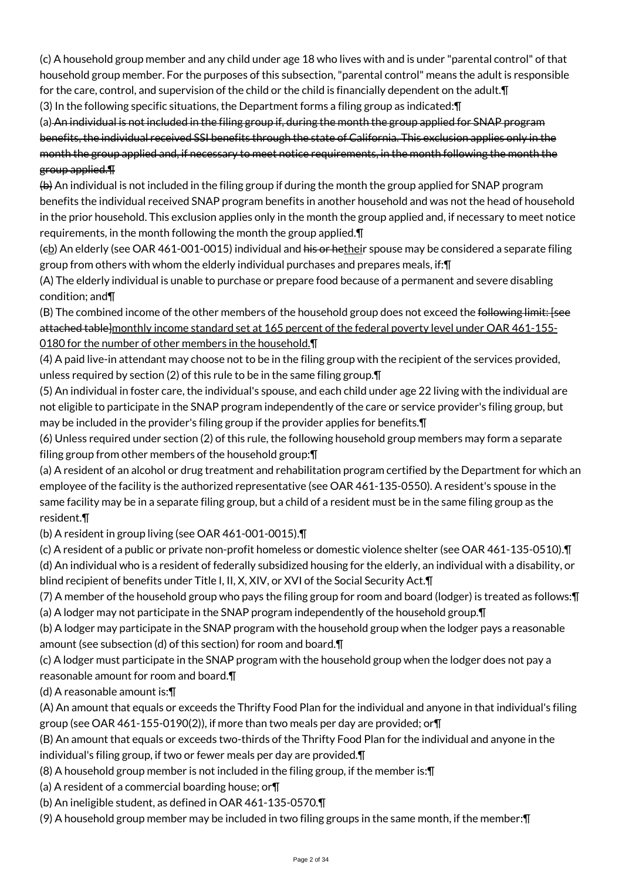(c) A household group member and any child under age 18 who lives with and is under "parental control" of that household group member. For the purposes of this subsection, "parental control" means the adult is responsible for the care, control, and supervision of the child or the child is financially dependent on the adult.¶

(3) In the following specific situations, the Department forms a filing group as indicated:¶

(a) An individual is not included in the filing group if, during the month the group applied for SNAP program benefits, the individual received SSI benefits through the state of California. This exclusion applies only in the month the group applied and, if necessary to meet notice requirements, in the month following the month the group applied.¶

(b) An individual is not included in the filing group if during the month the group applied for SNAP program benefits the individual received SNAP program benefits in another household and was not the head of household in the prior household. This exclusion applies only in the month the group applied and, if necessary to meet notice requirements, in the month following the month the group applied.¶

 $(eb)$  An elderly (see OAR 461-001-0015) individual and his or hetheir spouse may be considered a separate filing group from others with whom the elderly individual purchases and prepares meals, if:¶

(A) The elderly individual is unable to purchase or prepare food because of a permanent and severe disabling condition; and¶

(B) The combined income of the other members of the household group does not exceed the following limit: [see attached table]monthly income standard set at 165 percent of the federal poverty level under OAR 461-155-0180 for the number of other members in the household.¶

(4) A paid live-in attendant may choose not to be in the filing group with the recipient of the services provided, unless required by section (2) of this rule to be in the same filing group.¶

(5) An individual in foster care, the individual's spouse, and each child under age 22 living with the individual are not eligible to participate in the SNAP program independently of the care or service provider's filing group, but may be included in the provider's filing group if the provider applies for benefits.¶

(6) Unless required under section (2) of this rule, the following household group members may form a separate filing group from other members of the household group:¶

(a) A resident of an alcohol or drug treatment and rehabilitation program certified by the Department for which an employee of the facility is the authorized representative (see OAR 461-135-0550). A resident's spouse in the same facility may be in a separate filing group, but a child of a resident must be in the same filing group as the resident.¶

(b) A resident in group living (see OAR 461-001-0015).¶

(c) A resident of a public or private non-profit homeless or domestic violence shelter (see OAR 461-135-0510).¶

(d) An individual who is a resident of federally subsidized housing for the elderly, an individual with a disability, or blind recipient of benefits under Title I, II, X, XIV, or XVI of the Social Security Act.¶

(7) A member of the household group who pays the filing group for room and board (lodger) is treated as follows:¶ (a) A lodger may not participate in the SNAP program independently of the household group.¶

(b) A lodger may participate in the SNAP program with the household group when the lodger pays a reasonable amount (see subsection (d) of this section) for room and board.¶

(c) A lodger must participate in the SNAP program with the household group when the lodger does not pay a

# reasonable amount for room and board.¶

(d) A reasonable amount is:¶

(A) An amount that equals or exceeds the Thrifty Food Plan for the individual and anyone in that individual's filing group (see OAR 461-155-0190(2)), if more than two meals per day are provided; or  $\P$ 

(B) An amount that equals or exceeds two-thirds of the Thrifty Food Plan for the individual and anyone in the individual's filing group, if two or fewer meals per day are provided.¶

(8) A household group member is not included in the filing group, if the member is:¶

(a) A resident of a commercial boarding house; or¶

(b) An ineligible student, as defined in OAR 461-135-0570.¶

(9) A household group member may be included in two filing groups in the same month, if the member:¶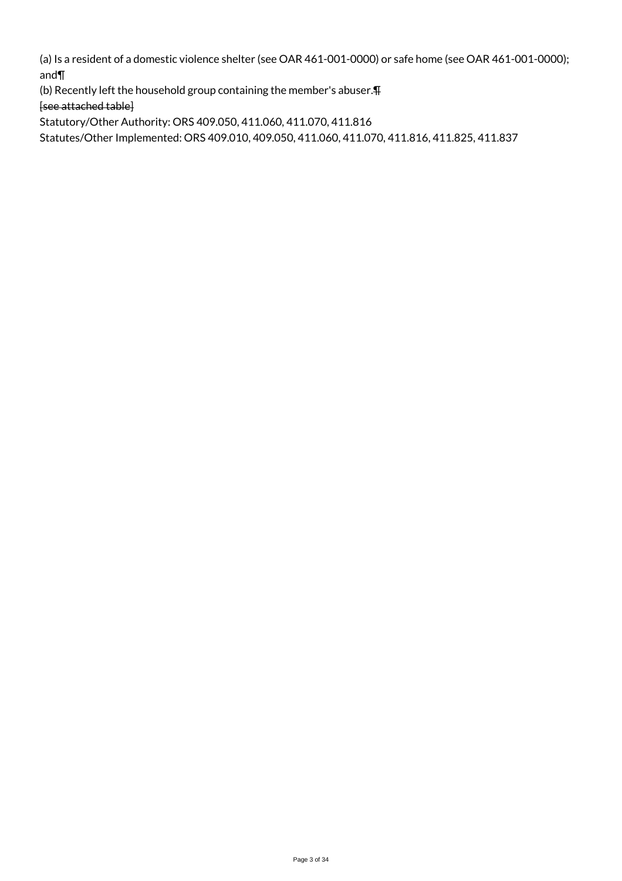(a) Is a resident of a domestic violence shelter (see OAR 461-001-0000) or safe home (see OAR 461-001-0000); and¶

(b) Recently left the household group containing the member's abuser.¶ [see attached table]

Statutory/Other Authority: ORS 409.050, 411.060, 411.070, 411.816

Statutes/Other Implemented: ORS 409.010, 409.050, 411.060, 411.070, 411.816, 411.825, 411.837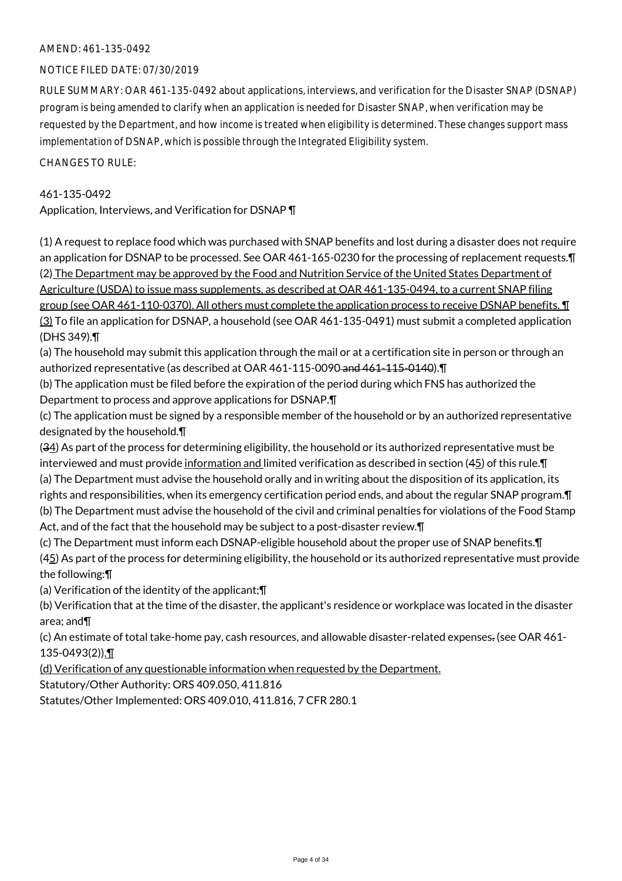# NOTICE FILED DATE: 07/30/2019

RULE SUMMARY: OAR 461-135-0492 about applications, interviews, and verification for the Disaster SNAP (DSNAP) program is being amended to clarify when an application is needed for Disaster SNAP, when verification may be requested by the Department, and how income is treated when eligibility is determined. These changes support mass implementation of DSNAP, which is possible through the Integrated Eligibility system.

CHANGES TO RULE:

#### 461-135-0492

Application, Interviews, and Verification for DSNAP ¶

(1) A request to replace food which was purchased with SNAP benefits and lost during a disaster does not require an application for DSNAP to be processed. See OAR 461-165-0230 for the processing of replacement requests.¶ (2) The Department may be approved by the Food and Nutrition Service of the United States Department of Agriculture (USDA) to issue mass supplements, as described at OAR 461-135-0494, to a current SNAP filing group (see OAR 461-110-0370). All others must complete the application process to receive DSNAP benefits. ¶ (3) To file an application for DSNAP, a household (see OAR 461-135-0491) must submit a completed application (DHS 349).¶

(a) The household may submit this application through the mail or at a certification site in person or through an authorized representative (as described at OAR 461-115-0090 and 461-115-0140).¶

(b) The application must be filed before the expiration of the period during which FNS has authorized the Department to process and approve applications for DSNAP.¶

(c) The application must be signed by a responsible member of the household or by an authorized representative designated by the household.¶

(34) As part of the process for determining eligibility, the household or its authorized representative must be interviewed and must provide information and limited verification as described in section (45) of this rule. $\P$ (a) The Department must advise the household orally and in writing about the disposition of its application, its rights and responsibilities, when its emergency certification period ends, and about the regular SNAP program.¶ (b) The Department must advise the household of the civil and criminal penalties for violations of the Food Stamp Act, and of the fact that the household may be subject to a post-disaster review.¶

(c) The Department must inform each DSNAP-eligible household about the proper use of SNAP benefits.¶  $(45)$  As part of the process for determining eligibility, the household or its authorized representative must provide the following:¶

(a) Verification of the identity of the applicant;¶

(b) Verification that at the time of the disaster, the applicant's residence or workplace was located in the disaster area; and¶

(c) An estimate of total take-home pay, cash resources, and allowable disaster-related expenses. (see OAR 461- 135-0493(2)).¶

(d) Verification of any questionable information when requested by the Department.

Statutory/Other Authority: ORS 409.050, 411.816

Statutes/Other Implemented: ORS 409.010, 411.816, 7 CFR 280.1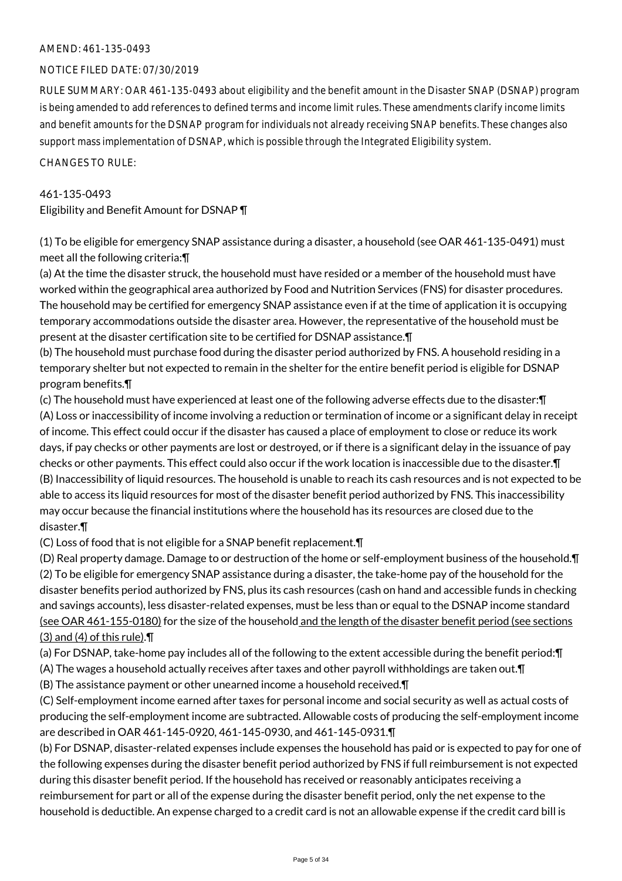#### NOTICE FILED DATE: 07/30/2019

RULE SUMMARY: OAR 461-135-0493 about eligibility and the benefit amount in the Disaster SNAP (DSNAP) program is being amended to add references to defined terms and income limit rules. These amendments clarify income limits and benefit amounts for the DSNAP program for individuals not already receiving SNAP benefits. These changes also support mass implementation of DSNAP, which is possible through the Integrated Eligibility system.

CHANGES TO RULE:

# 461-135-0493

Eligibility and Benefit Amount for DSNAP ¶

(1) To be eligible for emergency SNAP assistance during a disaster, a household (see OAR 461-135-0491) must meet all the following criteria:¶

(a) At the time the disaster struck, the household must have resided or a member of the household must have worked within the geographical area authorized by Food and Nutrition Services (FNS) for disaster procedures. The household may be certified for emergency SNAP assistance even if at the time of application it is occupying temporary accommodations outside the disaster area. However, the representative of the household must be present at the disaster certification site to be certified for DSNAP assistance.¶

(b) The household must purchase food during the disaster period authorized by FNS. A household residing in a temporary shelter but not expected to remain in the shelter for the entire benefit period is eligible for DSNAP program benefits.¶

(c) The household must have experienced at least one of the following adverse effects due to the disaster:¶ (A) Loss or inaccessibility of income involving a reduction or termination of income or a significant delay in receipt of income. This effect could occur if the disaster has caused a place of employment to close or reduce its work days, if pay checks or other payments are lost or destroyed, or if there is a significant delay in the issuance of pay checks or other payments. This effect could also occur if the work location is inaccessible due to the disaster.¶ (B) Inaccessibility of liquid resources. The household is unable to reach its cash resources and is not expected to be able to access its liquid resources for most of the disaster benefit period authorized by FNS. This inaccessibility may occur because the financial institutions where the household has its resources are closed due to the disaster.¶

(C) Loss of food that is not eligible for a SNAP benefit replacement.¶

(D) Real property damage. Damage to or destruction of the home or self-employment business of the household.¶ (2) To be eligible for emergency SNAP assistance during a disaster, the take-home pay of the household for the disaster benefits period authorized by FNS, plus its cash resources (cash on hand and accessible funds in checking and savings accounts), less disaster-related expenses, must be less than or equal to the DSNAP income standard (see OAR 461-155-0180) for the size of the household and the length of the disaster benefit period (see sections (3) and (4) of this rule).¶

(a) For DSNAP, take-home pay includes all of the following to the extent accessible during the benefit period:¶

(A) The wages a household actually receives after taxes and other payroll withholdings are taken out.¶

(B) The assistance payment or other unearned income a household received.¶

(C) Self-employment income earned after taxes for personal income and social security as well as actual costs of producing the self-employment income are subtracted. Allowable costs of producing the self-employment income are described in OAR 461-145-0920, 461-145-0930, and 461-145-0931.¶

(b) For DSNAP, disaster-related expenses include expenses the household has paid or is expected to pay for one of the following expenses during the disaster benefit period authorized by FNS if full reimbursement is not expected during this disaster benefit period. If the household has received or reasonably anticipates receiving a reimbursement for part or all of the expense during the disaster benefit period, only the net expense to the household is deductible. An expense charged to a credit card is not an allowable expense if the credit card bill is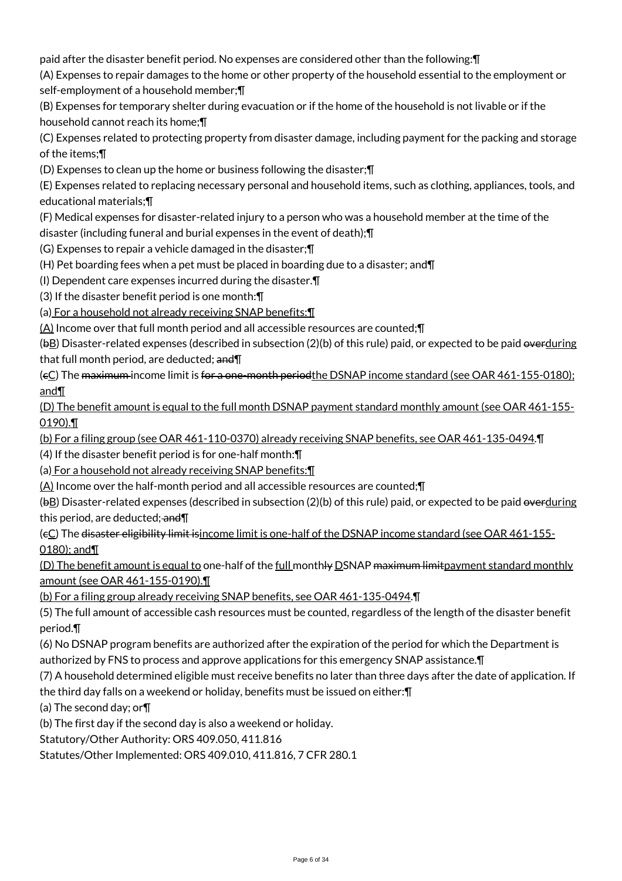paid after the disaster benefit period. No expenses are considered other than the following:¶

(A) Expenses to repair damages to the home or other property of the household essential to the employment or self-employment of a household member;¶

(B) Expenses for temporary shelter during evacuation or if the home of the household is not livable or if the household cannot reach its home;¶

(C) Expenses related to protecting property from disaster damage, including payment for the packing and storage of the items;¶

(D) Expenses to clean up the home or business following the disaster;¶

(E) Expenses related to replacing necessary personal and household items, such as clothing, appliances, tools, and educational materials;¶

(F) Medical expenses for disaster-related injury to a person who was a household member at the time of the disaster (including funeral and burial expenses in the event of death);¶

(G) Expenses to repair a vehicle damaged in the disaster;¶

(H) Pet boarding fees when a pet must be placed in boarding due to a disaster; and¶

(I) Dependent care expenses incurred during the disaster.¶

(3) If the disaster benefit period is one month:¶

(a) For a household not already receiving SNAP benefits:¶

(A) Income over that full month period and all accessible resources are counted;¶

(bB) Disaster-related expenses (described in subsection (2)(b) of this rule) paid, or expected to be paid overduring that full month period, are deducted; and \[

(eC) The maximum income limit is for a one-month periodthe DSNAP income standard (see OAR 461-155-0180); and¶

(D) The benefit amount is equal to the full month DSNAP payment standard monthly amount (see OAR 461-155- 0190).¶

(b) For a filing group (see OAR 461-110-0370) already receiving SNAP benefits, see OAR 461-135-0494.¶

(4) If the disaster benefit period is for one-half month:¶

(a) For a household not already receiving SNAP benefits:¶

 $(A)$  Income over the half-month period and all accessible resources are counted; $\P$ 

(bB) Disaster-related expenses (described in subsection (2)(b) of this rule) paid, or expected to be paid overduring this period, are deducted; and II

(cC) The disaster eligibility limit isincome limit is one-half of the DSNAP income standard (see OAR 461-155- 0180); and¶

(D) The benefit amount is equal to one-half of the full monthly DSNAP maximum limitpayment standard monthly amount (see OAR 461-155-0190).¶

(b) For a filing group already receiving SNAP benefits, see OAR 461-135-0494.¶

(5) The full amount of accessible cash resources must be counted, regardless of the length of the disaster benefit period.¶

(6) No DSNAP program benefits are authorized after the expiration of the period for which the Department is authorized by FNS to process and approve applications for this emergency SNAP assistance.¶

(7) A household determined eligible must receive benefits no later than three days after the date of application. If the third day falls on a weekend or holiday, benefits must be issued on either:¶

(a) The second day; or¶

(b) The first day if the second day is also a weekend or holiday.

Statutory/Other Authority: ORS 409.050, 411.816

Statutes/Other Implemented: ORS 409.010, 411.816, 7 CFR 280.1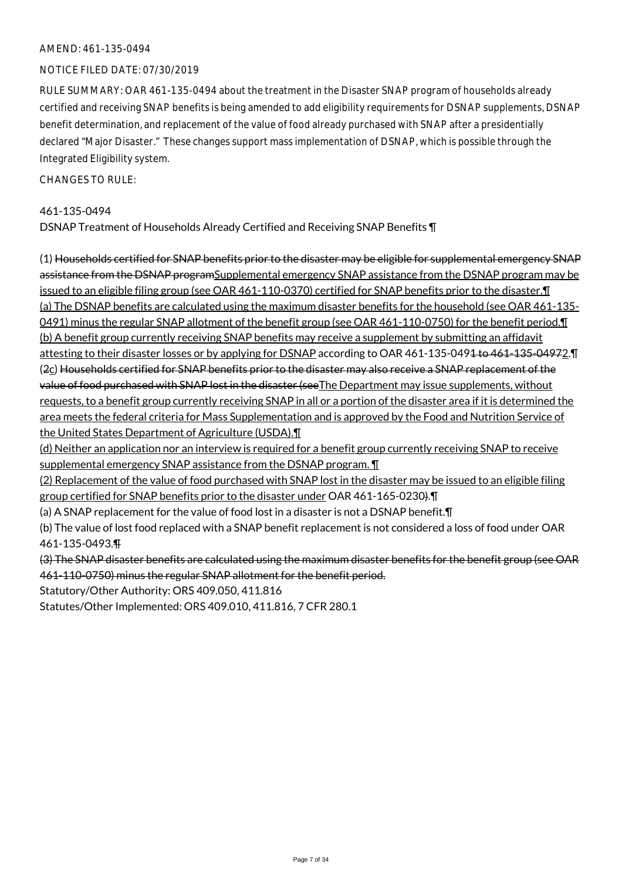#### NOTICE FILED DATE: 07/30/2019

RULE SUMMARY: OAR 461-135-0494 about the treatment in the Disaster SNAP program of households already certified and receiving SNAP benefits is being amended to add eligibility requirements for DSNAP supplements, DSNAP benefit determination, and replacement of the value of food already purchased with SNAP after a presidentially declared "Major Disaster." These changes support mass implementation of DSNAP, which is possible through the Integrated Eligibility system.

 $CHANGESTORUIF$ 

#### 461-135-0494

DSNAP Treatment of Households Already Certified and Receiving SNAP Benefits ¶

(1) Households certified for SNAP benefits prior to the disaster may be eligible for supplemental emergency SNAP assistance from the DSNAP programSupplemental emergency SNAP assistance from the DSNAP program may be issued to an eligible filing group (see OAR 461-110-0370) certified for SNAP benefits prior to the disaster.¶ (a) The DSNAP benefits are calculated using the maximum disaster benefits for the household (see OAR 461-135- 0491) minus the regular SNAP allotment of the benefit group (see OAR 461-110-0750) for the benefit period. I (b) A benefit group currently receiving SNAP benefits may receive a supplement by submitting an affidavit attesting to their disaster losses or by applying for DSNAP according to OAR 461-135-0494 to 461-135-04972. T (2c) Households certified for SNAP benefits prior to the disaster may also receive a SNAP replacement of the value of food purchased with SNAP lost in the disaster (see The Department may issue supplements, without requests, to a benefit group currently receiving SNAP in all or a portion of the disaster area if it is determined the area meets the federal criteria for Mass Supplementation and is approved by the Food and Nutrition Service of the United States Department of Agriculture (USDA).¶

(d) Neither an application nor an interview is required for a benefit group currently receiving SNAP to receive supplemental emergency SNAP assistance from the DSNAP program. ¶

(2) Replacement of the value of food purchased with SNAP lost in the disaster may be issued to an eligible filing group certified for SNAP benefits prior to the disaster under OAR 461-165-0230).¶

(a) A SNAP replacement for the value of food lost in a disaster is not a DSNAP benefit.¶

(b) The value of lost food replaced with a SNAP benefit replacement is not considered a loss of food under OAR 461-135-0493.¶

(3) The SNAP disaster benefits are calculated using the maximum disaster benefits for the benefit group (see OAR 461-110-0750) minus the regular SNAP allotment for the benefit period.

Statutory/Other Authority: ORS 409.050, 411.816

Statutes/Other Implemented: ORS 409.010, 411.816, 7 CFR 280.1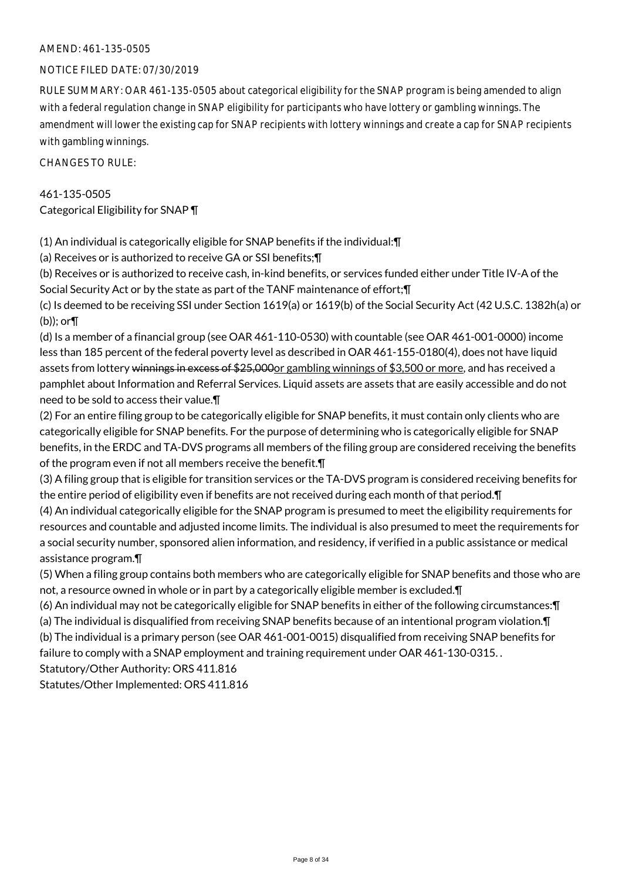#### NOTICE FILED DATE: 07/30/2019

RULE SUMMARY: OAR 461-135-0505 about categorical eligibility for the SNAP program is being amended to align with a federal regulation change in SNAP eligibility for participants who have lottery or gambling winnings. The amendment will lower the existing cap for SNAP recipients with lottery winnings and create a cap for SNAP recipients with gambling winnings.

CHANGES TO RULE:

# 461-135-0505 Categorical Eligibility for SNAP ¶

(1) An individual is categorically eligible for SNAP benefits if the individual:¶

(a) Receives or is authorized to receive GA or SSI benefits;¶

(b) Receives or is authorized to receive cash, in-kind benefits, or services funded either under Title IV-A of the Social Security Act or by the state as part of the TANF maintenance of effort;¶

(c) Is deemed to be receiving SSI under Section 1619(a) or 1619(b) of the Social Security Act (42 U.S.C. 1382h(a) or (b)); or¶

(d) Is a member of a financial group (see OAR 461-110-0530) with countable (see OAR 461-001-0000) income less than 185 percent of the federal poverty level as described in OAR 461-155-0180(4), does not have liquid assets from lottery winnings in excess of \$25,000 or gambling winnings of \$3,500 or more, and has received a pamphlet about Information and Referral Services. Liquid assets are assets that are easily accessible and do not need to be sold to access their value.¶

(2) For an entire filing group to be categorically eligible for SNAP benefits, it must contain only clients who are categorically eligible for SNAP benefits. For the purpose of determining who is categorically eligible for SNAP benefits, in the ERDC and TA-DVS programs all members of the filing group are considered receiving the benefits of the program even if not all members receive the benefit.¶

(3) A filing group that is eligible for transition services or the TA-DVS program is considered receiving benefits for the entire period of eligibility even if benefits are not received during each month of that period.¶

(4) An individual categorically eligible for the SNAP program is presumed to meet the eligibility requirements for resources and countable and adjusted income limits. The individual is also presumed to meet the requirements for a social security number, sponsored alien information, and residency, if verified in a public assistance or medical assistance program.¶

(5) When a filing group contains both members who are categorically eligible for SNAP benefits and those who are not, a resource owned in whole or in part by a categorically eligible member is excluded.¶

(6) An individual may not be categorically eligible for SNAP benefits in either of the following circumstances:¶ (a) The individual is disqualified from receiving SNAP benefits because of an intentional program violation.¶ (b) The individual is a primary person (see OAR 461-001-0015) disqualified from receiving SNAP benefits for

failure to comply with a SNAP employment and training requirement under OAR 461-130-0315. .

Statutory/Other Authority: ORS 411.816

Statutes/Other Implemented: ORS 411.816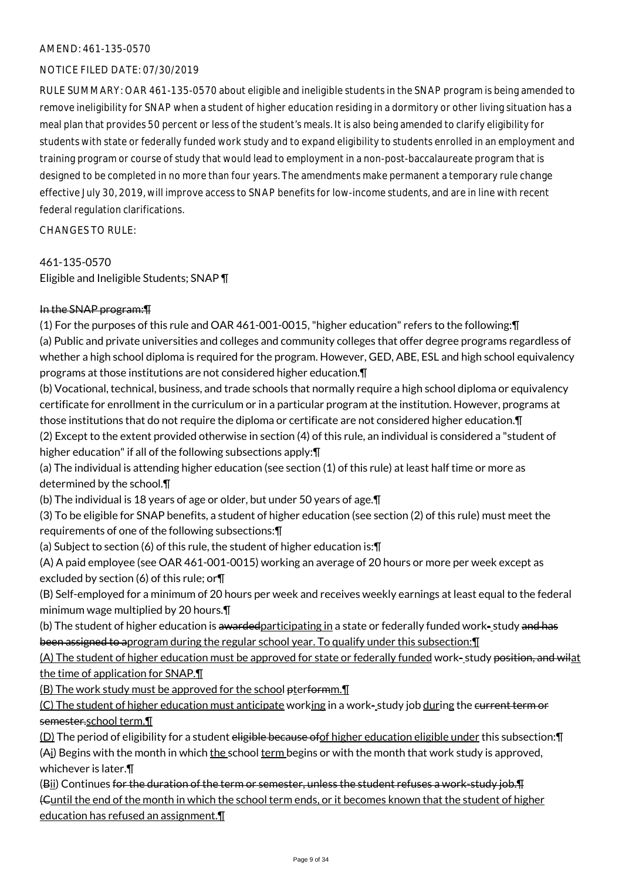# NOTICE FILED DATE: 07/30/2019

RULE SUMMARY: OAR 461-135-0570 about eligible and ineligible students in the SNAP program is being amended to remove ineligibility for SNAP when a student of higher education residing in a dormitory or other living situation has a meal plan that provides 50 percent or less of the student's meals. It is also being amended to clarify eligibility for students with state or federally funded work study and to expand eligibility to students enrolled in an employment and training program or course of study that would lead to employment in a non-post-baccalaureate program that is designed to be completed in no more than four years. The amendments make permanent a temporary rule change effective July 30, 2019, will improve access to SNAP benefits for low-income students, and are in line with recent federal regulation clarifications.

CHANGES TO RULE:

#### 461-135-0570

Eligible and Ineligible Students; SNAP ¶

# In the SNAP program:¶

(1) For the purposes of this rule and OAR 461-001-0015, "higher education" refers to the following:¶ (a) Public and private universities and colleges and community colleges that offer degree programs regardless of whether a high school diploma is required for the program. However, GED, ABE, ESL and high school equivalency programs at those institutions are not considered higher education.¶

(b) Vocational, technical, business, and trade schools that normally require a high school diploma or equivalency certificate for enrollment in the curriculum or in a particular program at the institution. However, programs at those institutions that do not require the diploma or certificate are not considered higher education.¶ (2) Except to the extent provided otherwise in section (4) of this rule, an individual is considered a "student of higher education" if all of the following subsections apply: \[

(a) The individual is attending higher education (see section (1) of this rule) at least half time or more as determined by the school.¶

(b) The individual is 18 years of age or older, but under 50 years of age.¶

(3) To be eligible for SNAP benefits, a student of higher education (see section (2) of this rule) must meet the requirements of one of the following subsections:¶

(a) Subject to section (6) of this rule, the student of higher education is:¶

(A) A paid employee (see OAR 461-001-0015) working an average of 20 hours or more per week except as excluded by section (6) of this rule; or¶

(B) Self-employed for a minimum of 20 hours per week and receives weekly earnings at least equal to the federal minimum wage multiplied by 20 hours.¶

(b) The student of higher education is awardedparticipating in a state or federally funded work-study and has been assigned to aprogram during the regular school year. To qualify under this subsection:¶

(A) The student of higher education must be approved for state or federally funded work- study position, and wilat the time of application for SNAP.¶

(B) The work study must be approved for the school pterformm.

(C) The student of higher education must anticipate working in a work-study job during the current term or semester.school term.¶

(D) The period of eligibility for a student eligible because of of higher education eligible under this subsection: [

(Ai) Begins with the month in which the school term begins or with the month that work study is approved, whichever is later.¶

(Bii) Continues for the duration of the term or semester, unless the student refuses a work-study job.¶ (Cuntil the end of the month in which the school term ends, or it becomes known that the student of higher education has refused an assignment.¶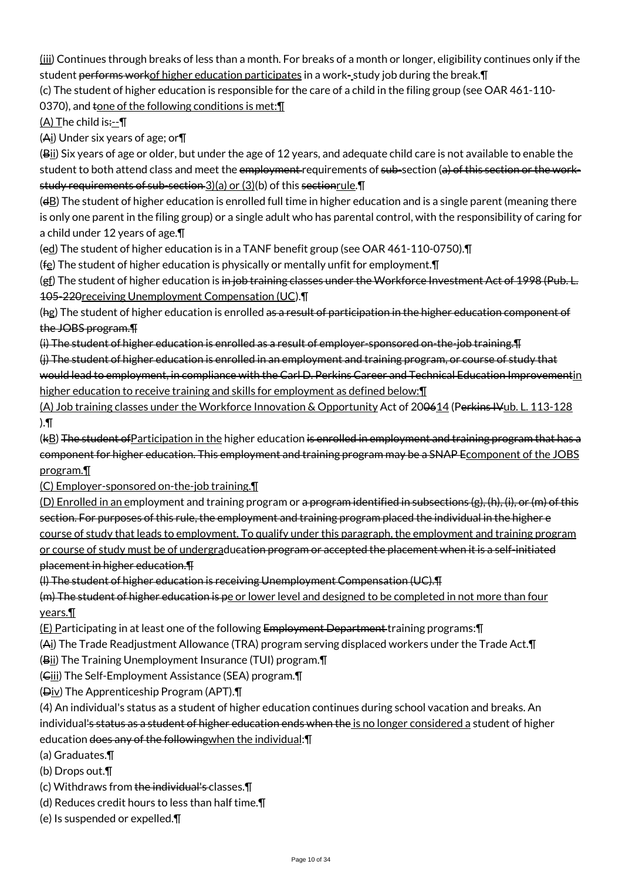(iii) Continues through breaks of less than a month. For breaks of a month or longer, eligibility continues only if the student performs workof higher education participates in a work-study job during the break. [I]

(c) The student of higher education is responsible for the care of a child in the filing group (see OAR 461-110-

0370), and  $t$ one of the following conditions is met: $\P$ 

 $(A)$  The child is:-- $\P$ 

(Ai) Under six years of age; or¶

(Bii) Six years of age or older, but under the age of 12 years, and adequate child care is not available to enable the student to both attend class and meet the employment requirements of sub-section (a) of this section or the workstudy requirements of sub-section 3)(a) or (3)(b) of this sectionrule. **T** 

 $(d)$  The student of higher education is enrolled full time in higher education and is a single parent (meaning there is only one parent in the filing group) or a single adult who has parental control, with the responsibility of caring for a child under 12 years of age.¶

(ed) The student of higher education is in a TANF benefit group (see OAR 461-110-0750).¶

( $f$ <sub>E</sub>) The student of higher education is physically or mentally unfit for employment. $\P$ 

(gf) The student of higher education is in job training classes under the Workforce Investment Act of 1998 (Pub. L. 105-220receiving Unemployment Compensation (UC).¶

(hg) The student of higher education is enrolled as a result of participation in the higher education component of the JOBS program.¶

(i) The student of higher education is enrolled as a result of employer-sponsored on-the-job training.¶

(j) The student of higher education is enrolled in an employment and training program, or course of study that would lead to employment, in compliance with the Carl D. Perkins Career and Technical Education Improvementin higher education to receive training and skills for employment as defined below: [1]

(A) Job training classes under the Workforce Innovation & Opportunity Act of 200614 (Perkins IVub. L. 113-128 ).¶

(kB) The student ofParticipation in the higher education is enrolled in employment and training program that has a component for higher education. This employment and training program may be a SNAP Ecomponent of the JOBS program.¶

(C) Employer-sponsored on-the-job training.¶

(D) Enrolled in an employment and training program or a program identified in subsections (g), (h), (i), or (m) of this section. For purposes of this rule, the employment and training program placed the individual in the higher e course of study that leads to employment. To qualify under this paragraph, the employment and training program or course of study must be of undergraducation program or accepted the placement when it is a self-initiated placement in higher education.¶

(l) The student of higher education is receiving Unemployment Compensation (UC).¶

(m) The student of higher education is pe or lower level and designed to be completed in not more than four years.¶

(E) Participating in at least one of the following Employment Department training programs:¶

(Ai) The Trade Readjustment Allowance (TRA) program serving displaced workers under the Trade Act.¶

(Bii) The Training Unemployment Insurance (TUI) program.¶

(Ciii) The Self-Employment Assistance (SEA) program.¶

(Div) The Apprenticeship Program (APT).¶

(4) An individual's status as a student of higher education continues during school vacation and breaks. An individual's status as a student of higher education ends when the is no longer considered a student of higher education does any of the followingwhen the individual:¶

(a) Graduates.¶

(b) Drops out.¶

- (c) Withdraws from the individual's classes.¶
- (d) Reduces credit hours to less than half time.¶
- (e) Is suspended or expelled.¶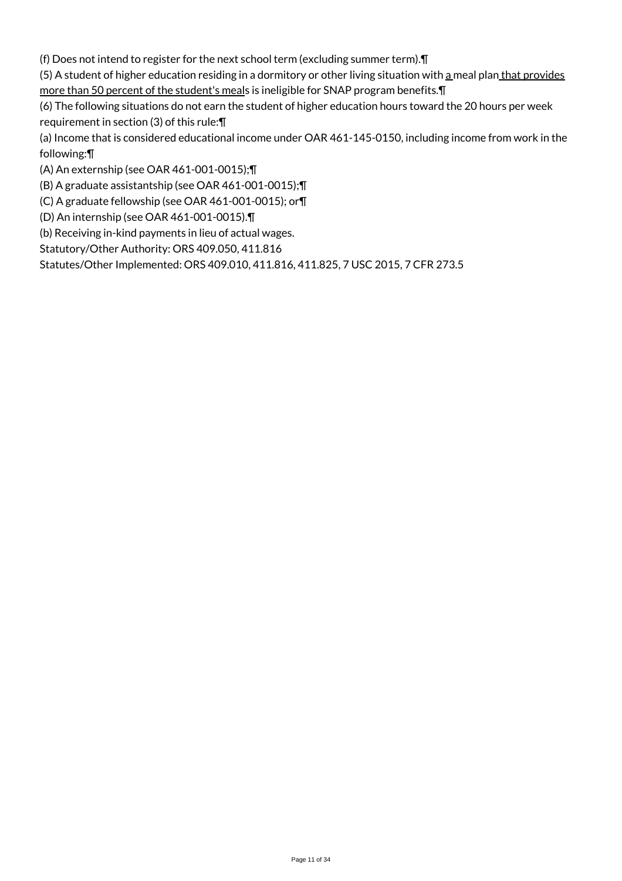(f) Does not intend to register for the next school term (excluding summer term).¶

(5) A student of higher education residing in a dormitory or other living situation with a meal plan that provides more than 50 percent of the student's meals is ineligible for SNAP program benefits.¶

(6) The following situations do not earn the student of higher education hours toward the 20 hours per week requirement in section (3) of this rule:¶

(a) Income that is considered educational income under OAR 461-145-0150, including income from work in the following:¶

(A) An externship (see OAR 461-001-0015);¶

(B) A graduate assistantship (see OAR 461-001-0015);¶

(C) A graduate fellowship (see OAR 461-001-0015); or¶

(D) An internship (see OAR 461-001-0015).¶

(b) Receiving in-kind payments in lieu of actual wages.

Statutory/Other Authority: ORS 409.050, 411.816

Statutes/Other Implemented: ORS 409.010, 411.816, 411.825, 7 USC 2015, 7 CFR 273.5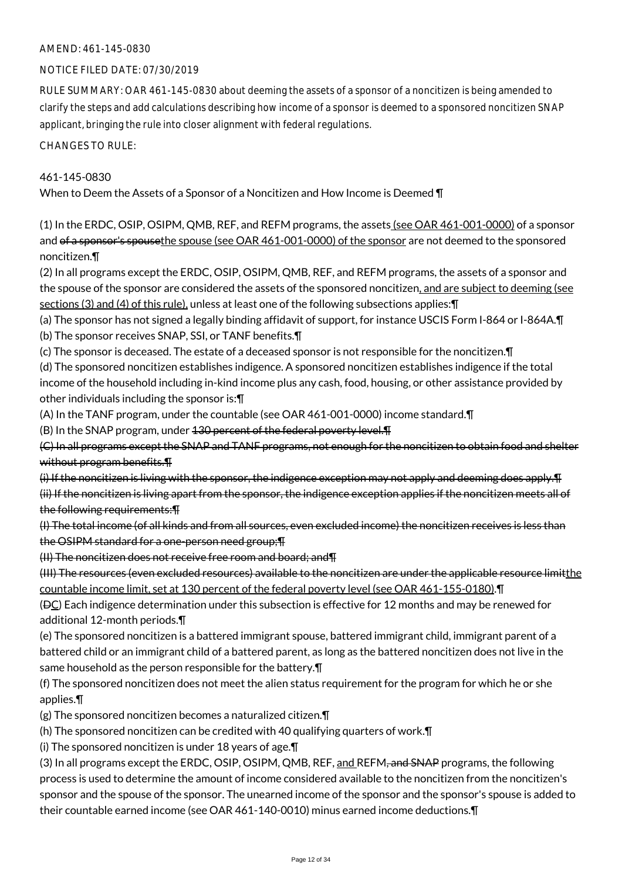## NOTICE FILED DATE: 07/30/2019

RULE SUMMARY: OAR 461-145-0830 about deeming the assets of a sponsor of a noncitizen is being amended to clarify the steps and add calculations describing how income of a sponsor is deemed to a sponsored noncitizen SNAP applicant, bringing the rule into closer alignment with federal regulations.

CHANGES TO RULE:

# 461-145-0830

When to Deem the Assets of a Sponsor of a Noncitizen and How Income is Deemed ¶

(1) In the ERDC, OSIP, OSIPM, QMB, REF, and REFM programs, the assets (see OAR 461-001-0000) of a sponsor and of a sponsor's spousethe spouse (see OAR 461-001-0000) of the sponsor are not deemed to the sponsored noncitizen.¶

(2) In all programs except the ERDC, OSIP, OSIPM, QMB, REF, and REFM programs, the assets of a sponsor and the spouse of the sponsor are considered the assets of the sponsored noncitizen, and are subject to deeming (see sections (3) and (4) of this rule), unless at least one of the following subsections applies: [1]

(a) The sponsor has not signed a legally binding affidavit of support, for instance USCIS Form I-864 or I-864A.¶

(b) The sponsor receives SNAP, SSI, or TANF benefits.¶

(c) The sponsor is deceased. The estate of a deceased sponsor is not responsible for the noncitizen.¶

(d) The sponsored noncitizen establishes indigence. A sponsored noncitizen establishes indigence if the total income of the household including in-kind income plus any cash, food, housing, or other assistance provided by other individuals including the sponsor is:¶

(A) In the TANF program, under the countable (see OAR 461-001-0000) income standard.¶

(B) In the SNAP program, under 130 percent of the federal poverty level.¶

(C) In all programs except the SNAP and TANF programs, not enough for the noncitizen to obtain food and shelter without program benefits.¶

(i) If the noncitizen is living with the sponsor, the indigence exception may not apply and deeming does apply.¶

(ii) If the noncitizen is living apart from the sponsor, the indigence exception applies if the noncitizen meets all of the following requirements:¶

(I) The total income (of all kinds and from all sources, even excluded income) the noncitizen receives is less than the OSIPM standard for a one-person need group;¶

(II) The noncitizen does not receive free room and board; and¶

(III) The resources (even excluded resources) available to the noncitizen are under the applicable resource limitthe countable income limit, set at 130 percent of the federal poverty level (see OAR 461-155-0180).¶

 $(DC)$  Each indigence determination under this subsection is effective for 12 months and may be renewed for additional 12-month periods.¶

(e) The sponsored noncitizen is a battered immigrant spouse, battered immigrant child, immigrant parent of a battered child or an immigrant child of a battered parent, as long as the battered noncitizen does not live in the same household as the person responsible for the battery.¶

(f) The sponsored noncitizen does not meet the alien status requirement for the program for which he or she applies.¶

(g) The sponsored noncitizen becomes a naturalized citizen.¶

(h) The sponsored noncitizen can be credited with 40 qualifying quarters of work.¶

(i) The sponsored noncitizen is under 18 years of age.¶

(3) In all programs except the ERDC, OSIP, OSIPM, OMB, REF, and REFM<del>, and SNAP</del> programs, the following process is used to determine the amount of income considered available to the noncitizen from the noncitizen's sponsor and the spouse of the sponsor. The unearned income of the sponsor and the sponsor's spouse is added to their countable earned income (see OAR 461-140-0010) minus earned income deductions.¶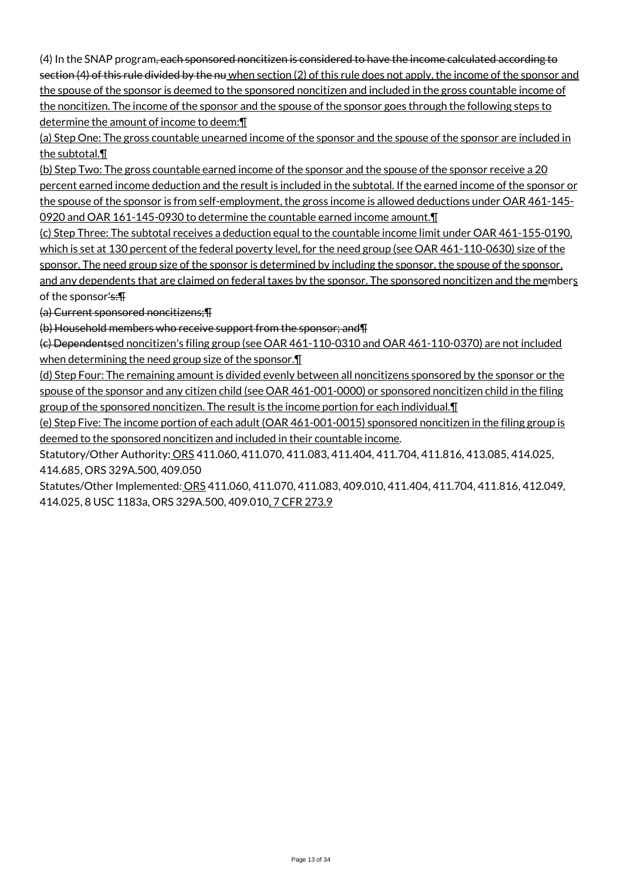(4) In the SNAP program, each sponsored noncitizen is considered to have the income calculated according to section (4) of this rule divided by the nu when section (2) of this rule does not apply, the income of the sponsor and the spouse of the sponsor is deemed to the sponsored noncitizen and included in the gross countable income of the noncitizen. The income of the sponsor and the spouse of the sponsor goes through the following steps to determine the amount of income to deem:¶

(a) Step One: The gross countable unearned income of the sponsor and the spouse of the sponsor are included in the subtotal.¶

(b) Step Two: The gross countable earned income of the sponsor and the spouse of the sponsor receive a 20 percent earned income deduction and the result is included in the subtotal. If the earned income of the sponsor or the spouse of the sponsor is from self-employment, the gross income is allowed deductions under OAR 461-145- 0920 and OAR 161-145-0930 to determine the countable earned income amount.¶

(c) Step Three: The subtotal receives a deduction equal to the countable income limit under OAR 461-155-0190, which is set at 130 percent of the federal poverty level, for the need group (see OAR 461-110-0630) size of the sponsor. The need group size of the sponsor is determined by including the sponsor, the spouse of the sponsor, and any dependents that are claimed on federal taxes by the sponsor. The sponsored noncitizen and the members of the sponsor's:¶

(a) Current sponsored noncitizens;¶

(b) Household members who receive support from the sponsor; and¶

(c) Dependentsed noncitizen's filing group (see OAR 461-110-0310 and OAR 461-110-0370) are not included when determining the need group size of the sponsor. I

(d) Step Four: The remaining amount is divided evenly between all noncitizens sponsored by the sponsor or the spouse of the sponsor and any citizen child (see OAR 461-001-0000) or sponsored noncitizen child in the filing group of the sponsored noncitizen. The result is the income portion for each individual.¶

(e) Step Five: The income portion of each adult (OAR 461-001-0015) sponsored noncitizen in the filing group is deemed to the sponsored noncitizen and included in their countable income.

Statutory/Other Authority: ORS 411.060, 411.070, 411.083, 411.404, 411.704, 411.816, 413.085, 414.025, 414.685, ORS 329A.500, 409.050

Statutes/Other Implemented: ORS 411.060, 411.070, 411.083, 409.010, 411.404, 411.704, 411.816, 412.049, 414.025, 8 USC 1183a, ORS 329A.500, 409.010, 7 CFR 273.9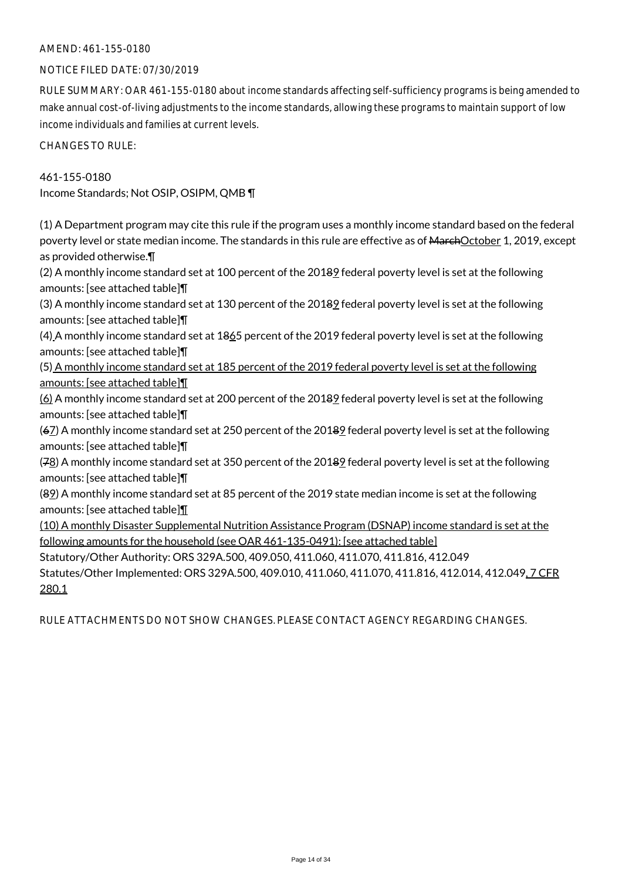#### NOTICE FILED DATE: 07/30/2019

RULE SUMMARY: OAR 461-155-0180 about income standards affecting self-sufficiency programs is being amended to make annual cost-of-living adjustments to the income standards, allowing these programs to maintain support of low income individuals and families at current levels.

CHANGES TO RULE:

461-155-0180 Income Standards; Not OSIP, OSIPM, QMB ¶

(1) A Department program may cite this rule if the program uses a monthly income standard based on the federal poverty level or state median income. The standards in this rule are effective as of MarchOctober 1, 2019, except as provided otherwise.¶

(2) A monthly income standard set at 100 percent of the 20189 federal poverty level is set at the following amounts: [see attached table]¶

(3) A monthly income standard set at 130 percent of the 20189 federal poverty level is set at the following amounts: [see attached table]¶

(4) A monthly income standard set at 1865 percent of the 2019 federal poverty level is set at the following amounts: [see attached table]¶

(5) A monthly income standard set at 185 percent of the 2019 federal poverty level is set at the following amounts: [see attached table]¶

(6) A monthly income standard set at 200 percent of the 20189 federal poverty level is set at the following amounts: [see attached table]¶

(67) A monthly income standard set at 250 percent of the 20189 federal poverty level is set at the following amounts: [see attached table]¶

(78) A monthly income standard set at 350 percent of the 20189 federal poverty level is set at the following amounts: [see attached table]¶

(89) A monthly income standard set at 85 percent of the 2019 state median income is set at the following amounts: [see attached table]¶

(10) A monthly Disaster Supplemental Nutrition Assistance Program (DSNAP) income standard is set at the following amounts for the household (see OAR 461-135-0491): [see attached table]

Statutory/Other Authority: ORS 329A.500, 409.050, 411.060, 411.070, 411.816, 412.049 Statutes/Other Implemented: ORS 329A.500, 409.010, 411.060, 411.070, 411.816, 412.014, 412.049, 7 CFR 280.1

RULE ATTACHMENTS DO NOT SHOW CHANGES. PLEASE CONTACT AGENCY REGARDING CHANGES.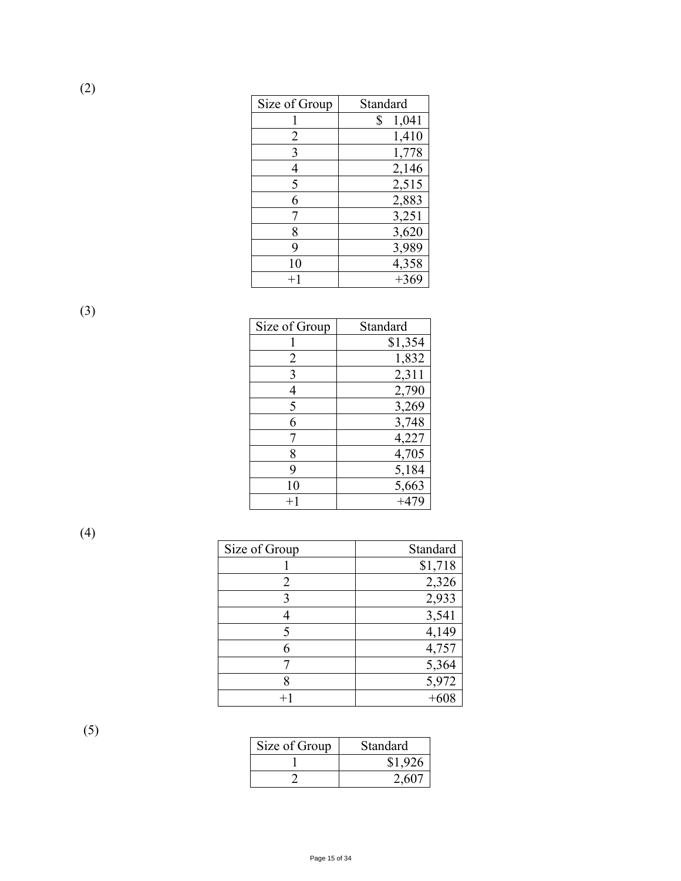| Size of Group    | Standard    |
|------------------|-------------|
|                  | 1,041<br>\$ |
| 2                | 1,410       |
| 3                | 1,778       |
| 4                | 2,146       |
| 5                | 2,515       |
| 6                | 2,883       |
|                  | 3,251       |
| 8                | 3,620       |
| 9                | 3,989       |
| 10               | 4,358       |
| $^{\mathrm{+1}}$ | $+369$      |

(3)

| Size of Group | Standard |
|---------------|----------|
|               | \$1,354  |
| 2             | 1,832    |
| 3             | 2,311    |
| 4             | 2,790    |
| 5             | 3,269    |
| 6             | 3,748    |
| 7             | 4,227    |
| 8             | 4,705    |
| 9             | 5,184    |
| 10            | 5,663    |
| $+1$          | $+479$   |

(4)

| Size of Group | Standard |
|---------------|----------|
|               | \$1,718  |
| 2             | 2,326    |
| 3             | 2,933    |
|               | 3,541    |
| 5             | 4,149    |
|               | 4,757    |
|               | 5,364    |
|               | 5,972    |
| $+1$          |          |

(5)

| Size of Group | Standard |
|---------------|----------|
|               | \$1,926  |
|               | 2.607    |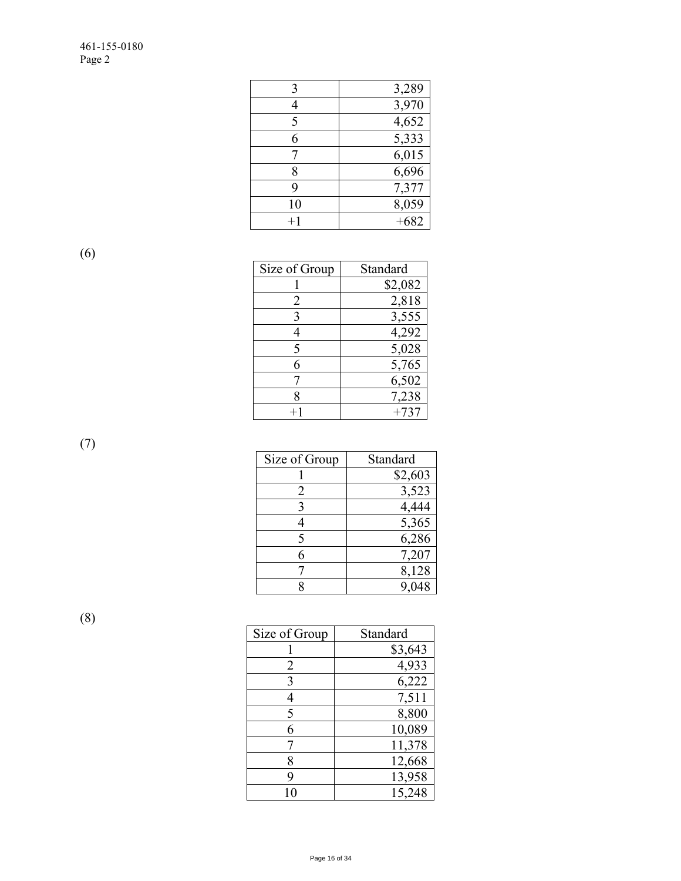| 3    | 3,289  |
|------|--------|
|      | 3,970  |
| 5    | 4,652  |
| 6    | 5,333  |
|      | 6,015  |
| 8    | 6,696  |
| 9    | 7,377  |
| 10   | 8,059  |
| $+1$ | $+682$ |

(6)

| Size of Group | Standard |
|---------------|----------|
|               | \$2,082  |
| 2             | 2,818    |
| 3             | 3,555    |
| 4             | 4,292    |
| 5             | 5,028    |
| 6             | 5,765    |
| 7             | 6,502    |
| 8             | 7,238    |
| $+1$          | $+737$   |
|               |          |

(7)

| Size of Group | Standard |
|---------------|----------|
|               | \$2,603  |
| 2             | 3,523    |
| 3             | 4,444    |
|               | 5,365    |
| 5             | 6,286    |
| 6             | 7,207    |
|               | 8,128    |
|               | 9,048    |

(8)

| Size of Group | Standard |
|---------------|----------|
|               | \$3,643  |
| 2             | 4,933    |
| 3             | 6,222    |
| 4             | 7,511    |
| 5             | 8,800    |
| 6             | 10,089   |
|               | 11,378   |
| 8             | 12,668   |
| 9             | 13,958   |
| 10            | 15,248   |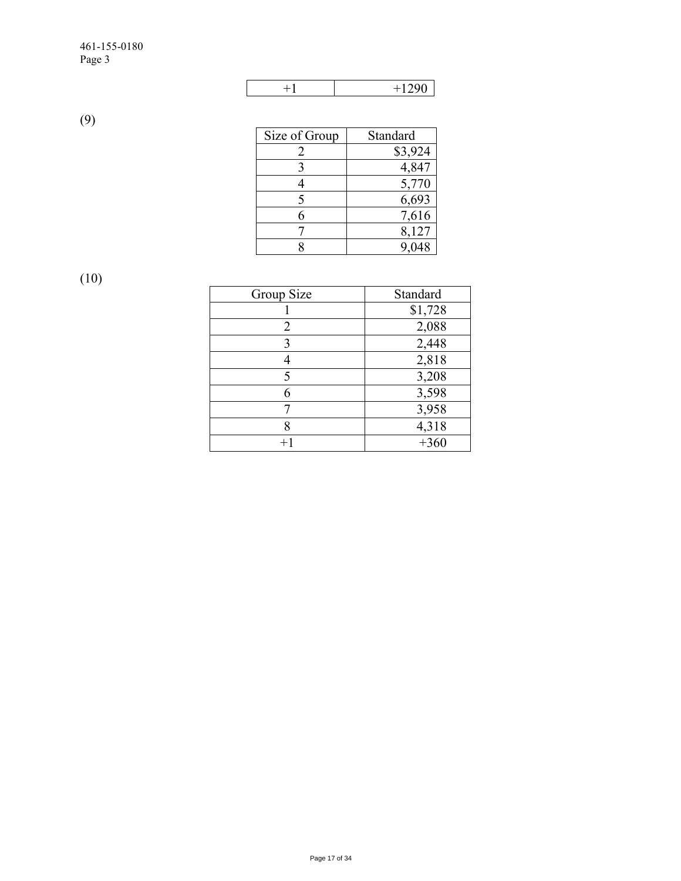| ۱∩∩<br>ບ<br>__ |
|----------------|

(9)

| Size of Group | Standard |
|---------------|----------|
|               | \$3,924  |
|               | 4,847    |
|               | 5,770    |
| 5             | 6,693    |
|               | 7,616    |
|               | 8,127    |
|               |          |

(10)

| Group Size | Standard |
|------------|----------|
|            | \$1,728  |
| 2          | 2,088    |
| 3          | 2,448    |
|            | 2,818    |
| 5          | 3,208    |
| 6          | 3,598    |
|            | 3,958    |
| 8          | 4,318    |
|            | $+360$   |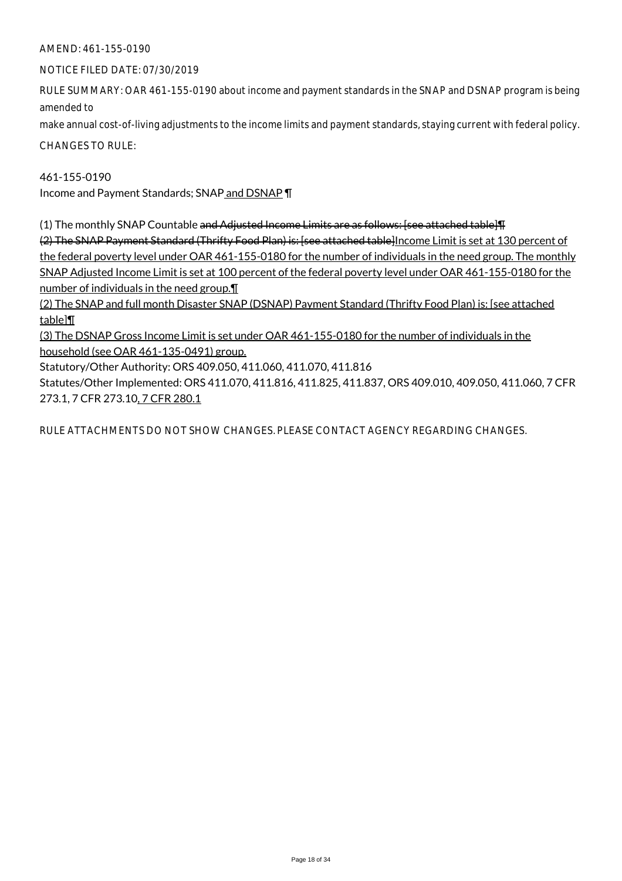NOTICE FILED DATE: 07/30/2019

RULE SUMMARY: OAR 461-155-0190 about income and payment standards in the SNAP and DSNAP program is being amended to

make annual cost-of-living adjustments to the income limits and payment standards, staying current with federal policy.

CHANGES TO RULE:

# 461-155-0190

Income and Payment Standards; SNAP and DSNAP ¶

(1) The monthly SNAP Countable and Adjusted Income Limits are as follows: [see attached table]¶

(2) The SNAP Payment Standard (Thrifty Food Plan) is: [see attached table]Income Limit is set at 130 percent of the federal poverty level under OAR 461-155-0180 for the number of individuals in the need group. The monthly SNAP Adjusted Income Limit is set at 100 percent of the federal poverty level under OAR 461-155-0180 for the number of individuals in the need group.¶

(2) The SNAP and full month Disaster SNAP (DSNAP) Payment Standard (Thrifty Food Plan) is: [see attached table]¶

(3) The DSNAP Gross Income Limit is set under OAR 461-155-0180 for the number of individuals in the household (see OAR 461-135-0491) group.

Statutory/Other Authority: ORS 409.050, 411.060, 411.070, 411.816

Statutes/Other Implemented: ORS 411.070, 411.816, 411.825, 411.837, ORS 409.010, 409.050, 411.060, 7 CFR 273.1, 7 CFR 273.10, 7 CFR 280.1

RULE ATTACHMENTS DO NOT SHOW CHANGES. PLEASE CONTACT AGENCY REGARDING CHANGES.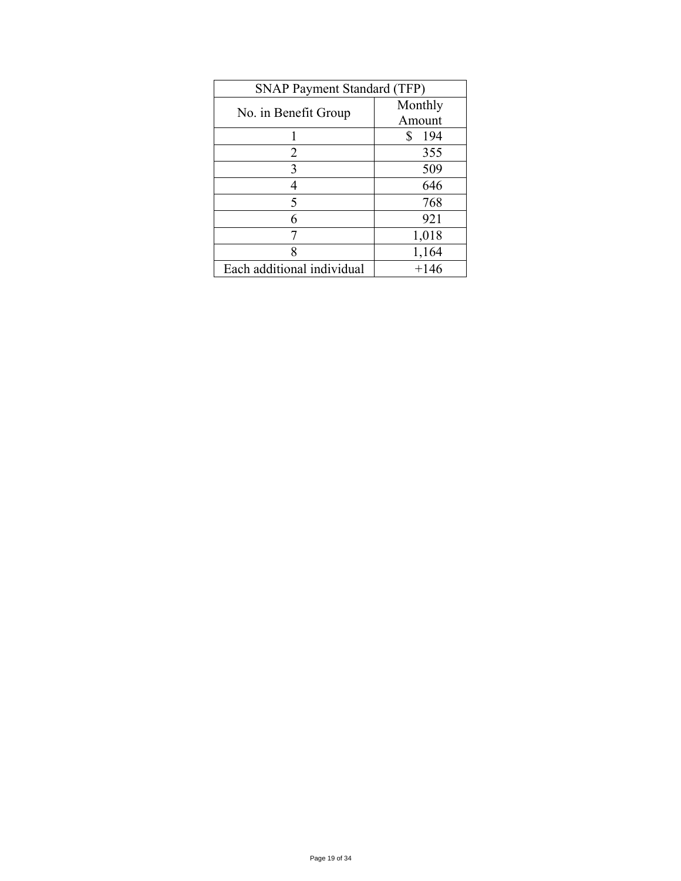| <b>SNAP Payment Standard (TFP)</b> |           |
|------------------------------------|-----------|
|                                    | Monthly   |
| No. in Benefit Group               | Amount    |
|                                    | \$<br>194 |
| 2                                  | 355       |
| 3                                  | 509       |
| 4                                  | 646       |
| 5                                  | 768       |
| 6                                  | 921       |
| 7                                  | 1,018     |
| 8                                  | 1,164     |
| Each additional individual         | $+146$    |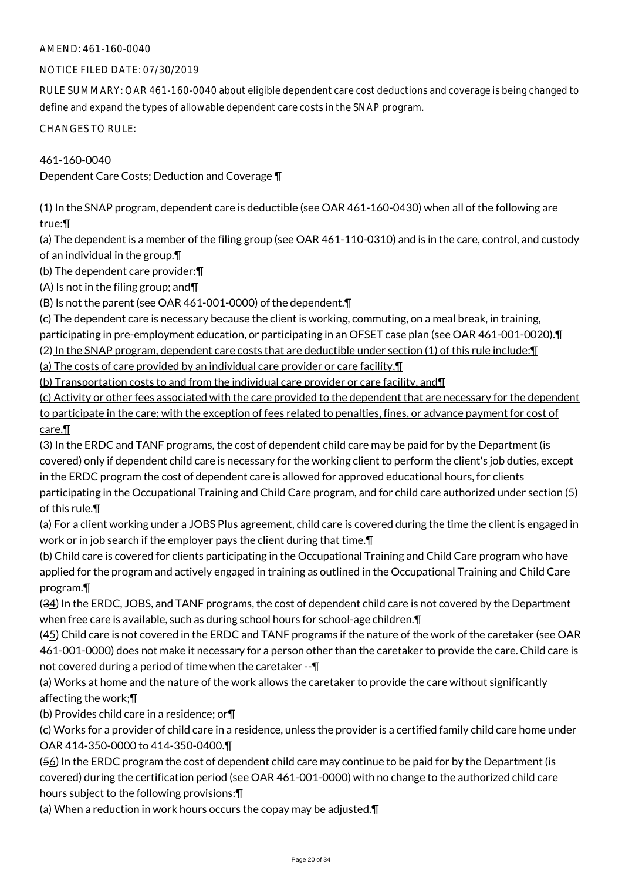# AMEND: 461-160-0040

# NOTICE FILED DATE: 07/30/2019

RULE SUMMARY: OAR 461-160-0040 about eligible dependent care cost deductions and coverage is being changed to define and expand the types of allowable dependent care costs in the SNAP program.

CHANGES TO RULE:

# 461-160-0040

Dependent Care Costs; Deduction and Coverage ¶

(1) In the SNAP program, dependent care is deductible (see OAR 461-160-0430) when all of the following are true:¶

(a) The dependent is a member of the filing group (see OAR 461-110-0310) and is in the care, control, and custody of an individual in the group.¶

(b) The dependent care provider:¶

(A) Is not in the filing group; and¶

(B) Is not the parent (see OAR 461-001-0000) of the dependent.¶

(c) The dependent care is necessary because the client is working, commuting, on a meal break, in training,

participating in pre-employment education, or participating in an OFSET case plan (see OAR 461-001-0020).¶

(2) In the SNAP program, dependent care costs that are deductible under section (1) of this rule include:¶

(a) The costs of care provided by an individual care provider or care facility,¶

(b) Transportation costs to and from the individual care provider or care facility, and¶

(c) Activity or other fees associated with the care provided to the dependent that are necessary for the dependent to participate in the care; with the exception of fees related to penalties, fines, or advance payment for cost of care.¶

(3) In the ERDC and TANF programs, the cost of dependent child care may be paid for by the Department (is covered) only if dependent child care is necessary for the working client to perform the client's job duties, except in the ERDC program the cost of dependent care is allowed for approved educational hours, for clients participating in the Occupational Training and Child Care program, and for child care authorized under section (5) of this rule.¶

(a) For a client working under a JOBS Plus agreement, child care is covered during the time the client is engaged in work or in job search if the employer pays the client during that time.¶

(b) Child care is covered for clients participating in the Occupational Training and Child Care program who have applied for the program and actively engaged in training as outlined in the Occupational Training and Child Care program.¶

(34) In the ERDC, JOBS, and TANF programs, the cost of dependent child care is not covered by the Department when free care is available, such as during school hours for school-age children.¶

(45) Child care is not covered in the ERDC and TANF programs if the nature of the work of the caretaker (see OAR 461-001-0000) does not make it necessary for a person other than the caretaker to provide the care. Child care is not covered during a period of time when the caretaker --¶

(a) Works at home and the nature of the work allows the caretaker to provide the care without significantly affecting the work;¶

(b) Provides child care in a residence; or¶

(c) Works for a provider of child care in a residence, unless the provider is a certified family child care home under OAR 414-350-0000 to 414-350-0400.¶

(56) In the ERDC program the cost of dependent child care may continue to be paid for by the Department (is covered) during the certification period (see OAR 461-001-0000) with no change to the authorized child care hours subject to the following provisions:¶

(a) When a reduction in work hours occurs the copay may be adjusted.¶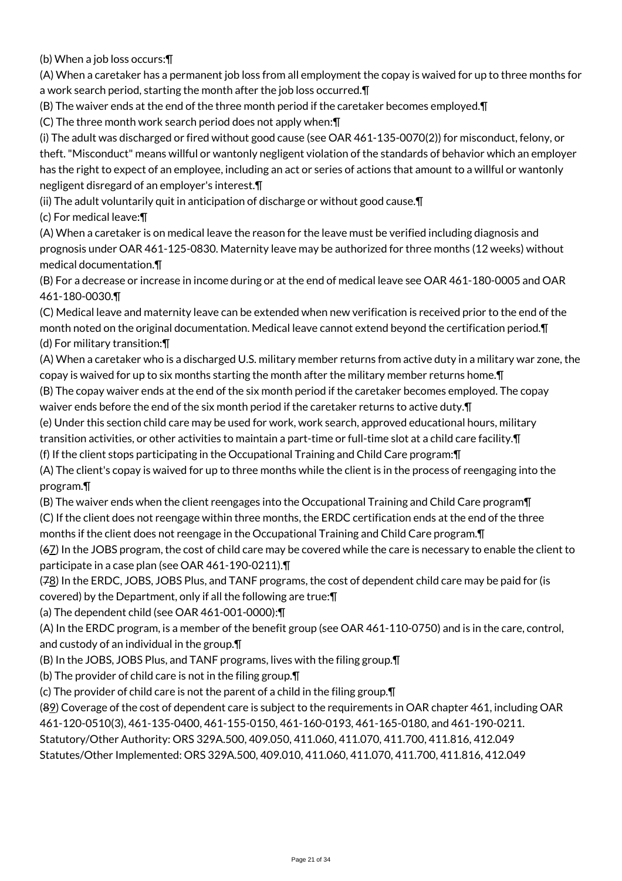(b) When a job loss occurs:¶

(A) When a caretaker has a permanent job loss from all employment the copay is waived for up to three months for a work search period, starting the month after the job loss occurred.¶

(B) The waiver ends at the end of the three month period if the caretaker becomes employed.¶

(C) The three month work search period does not apply when:¶

(i) The adult was discharged or fired without good cause (see OAR 461-135-0070(2)) for misconduct, felony, or theft. "Misconduct" means willful or wantonly negligent violation of the standards of behavior which an employer has the right to expect of an employee, including an act or series of actions that amount to a willful or wantonly negligent disregard of an employer's interest.¶

(ii) The adult voluntarily quit in anticipation of discharge or without good cause.¶

(c) For medical leave:¶

(A) When a caretaker is on medical leave the reason for the leave must be verified including diagnosis and prognosis under OAR 461-125-0830. Maternity leave may be authorized for three months (12 weeks) without medical documentation.¶

(B) For a decrease or increase in income during or at the end of medical leave see OAR 461-180-0005 and OAR 461-180-0030.¶

(C) Medical leave and maternity leave can be extended when new verification is received prior to the end of the month noted on the original documentation. Medical leave cannot extend beyond the certification period.¶ (d) For military transition:¶

(A) When a caretaker who is a discharged U.S. military member returns from active duty in a military war zone, the copay is waived for up to six months starting the month after the military member returns home.¶

(B) The copay waiver ends at the end of the six month period if the caretaker becomes employed. The copay waiver ends before the end of the six month period if the caretaker returns to active duty.¶

(e) Under this section child care may be used for work, work search, approved educational hours, military

transition activities, or other activities to maintain a part-time or full-time slot at a child care facility.¶

(f) If the client stops participating in the Occupational Training and Child Care program:¶

(A) The client's copay is waived for up to three months while the client is in the process of reengaging into the program.¶

(B) The waiver ends when the client reengages into the Occupational Training and Child Care program¶

(C) If the client does not reengage within three months, the ERDC certification ends at the end of the three months if the client does not reengage in the Occupational Training and Child Care program.¶

(67) In the JOBS program, the cost of child care may be covered while the care is necessary to enable the client to participate in a case plan (see OAR 461-190-0211).¶

(78) In the ERDC, JOBS, JOBS Plus, and TANF programs, the cost of dependent child care may be paid for (is covered) by the Department, only if all the following are true:¶

(a) The dependent child (see OAR 461-001-0000):¶

(A) In the ERDC program, is a member of the benefit group (see OAR 461-110-0750) and is in the care, control, and custody of an individual in the group.¶

(B) In the JOBS, JOBS Plus, and TANF programs, lives with the filing group.¶

(b) The provider of child care is not in the filing group.¶

(c) The provider of child care is not the parent of a child in the filing group.¶

(89) Coverage of the cost of dependent care is subject to the requirements in OAR chapter 461, including OAR

461-120-0510(3), 461-135-0400, 461-155-0150, 461-160-0193, 461-165-0180, and 461-190-0211.

Statutory/Other Authority: ORS 329A.500, 409.050, 411.060, 411.070, 411.700, 411.816, 412.049

Statutes/Other Implemented: ORS 329A.500, 409.010, 411.060, 411.070, 411.700, 411.816, 412.049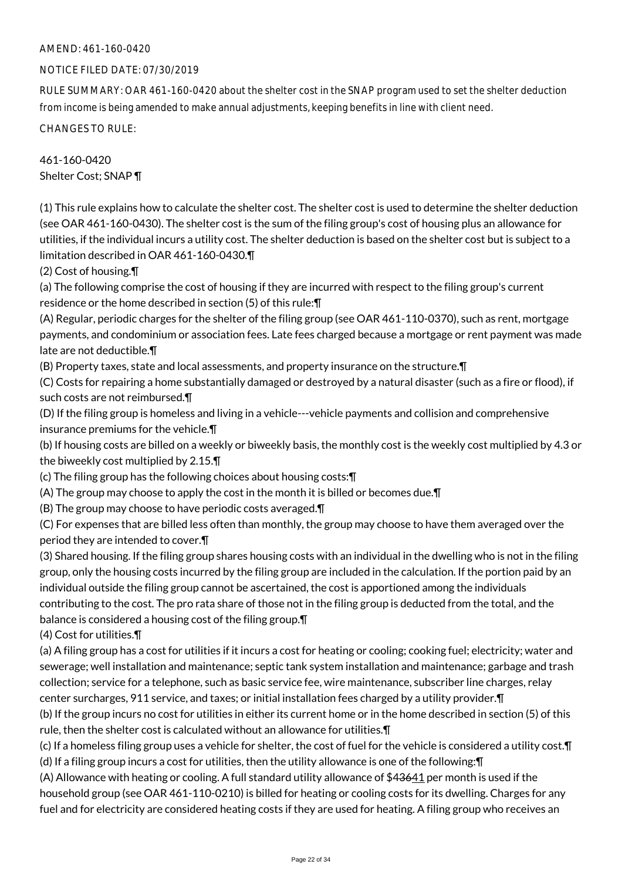# AMEND: 461-160-0420

#### NOTICE FILED DATE: 07/30/2019

RULE SUMMARY: OAR 461-160-0420 about the shelter cost in the SNAP program used to set the shelter deduction from income is being amended to make annual adjustments, keeping benefits in line with client need.

CHANGES TO RULE:

# 461-160-0420 Shelter Cost; SNAP ¶

(1) This rule explains how to calculate the shelter cost. The shelter cost is used to determine the shelter deduction (see OAR 461-160-0430). The shelter cost is the sum of the filing group's cost of housing plus an allowance for utilities, if the individual incurs a utility cost. The shelter deduction is based on the shelter cost but is subject to a limitation described in OAR 461-160-0430.¶

(2) Cost of housing.¶

(a) The following comprise the cost of housing if they are incurred with respect to the filing group's current residence or the home described in section (5) of this rule:¶

(A) Regular, periodic charges for the shelter of the filing group (see OAR 461-110-0370), such as rent, mortgage payments, and condominium or association fees. Late fees charged because a mortgage or rent payment was made late are not deductible.¶

(B) Property taxes, state and local assessments, and property insurance on the structure.¶

(C) Costs for repairing a home substantially damaged or destroyed by a natural disaster (such as a fire or flood), if such costs are not reimbursed.¶

(D) If the filing group is homeless and living in a vehicle---vehicle payments and collision and comprehensive insurance premiums for the vehicle.¶

(b) If housing costs are billed on a weekly or biweekly basis, the monthly cost is the weekly cost multiplied by 4.3 or the biweekly cost multiplied by 2.15.¶

(c) The filing group has the following choices about housing costs:¶

(A) The group may choose to apply the cost in the month it is billed or becomes due.¶

(B) The group may choose to have periodic costs averaged.¶

(C) For expenses that are billed less often than monthly, the group may choose to have them averaged over the period they are intended to cover.¶

(3) Shared housing. If the filing group shares housing costs with an individual in the dwelling who is not in the filing group, only the housing costs incurred by the filing group are included in the calculation. If the portion paid by an individual outside the filing group cannot be ascertained, the cost is apportioned among the individuals contributing to the cost. The pro rata share of those not in the filing group is deducted from the total, and the balance is considered a housing cost of the filing group.¶

(4) Cost for utilities.¶

(a) A filing group has a cost for utilities if it incurs a cost for heating or cooling; cooking fuel; electricity; water and sewerage; well installation and maintenance; septic tank system installation and maintenance; garbage and trash collection; service for a telephone, such as basic service fee, wire maintenance, subscriber line charges, relay center surcharges, 911 service, and taxes; or initial installation fees charged by a utility provider.¶

(b) If the group incurs no cost for utilities in either its current home or in the home described in section (5) of this rule, then the shelter cost is calculated without an allowance for utilities.¶

(c) If a homeless filing group uses a vehicle for shelter, the cost of fuel for the vehicle is considered a utility cost.¶ (d) If a filing group incurs a cost for utilities, then the utility allowance is one of the following:¶

(A) Allowance with heating or cooling. A full standard utility allowance of \$43641 per month is used if the household group (see OAR 461-110-0210) is billed for heating or cooling costs for its dwelling. Charges for any fuel and for electricity are considered heating costs if they are used for heating. A filing group who receives an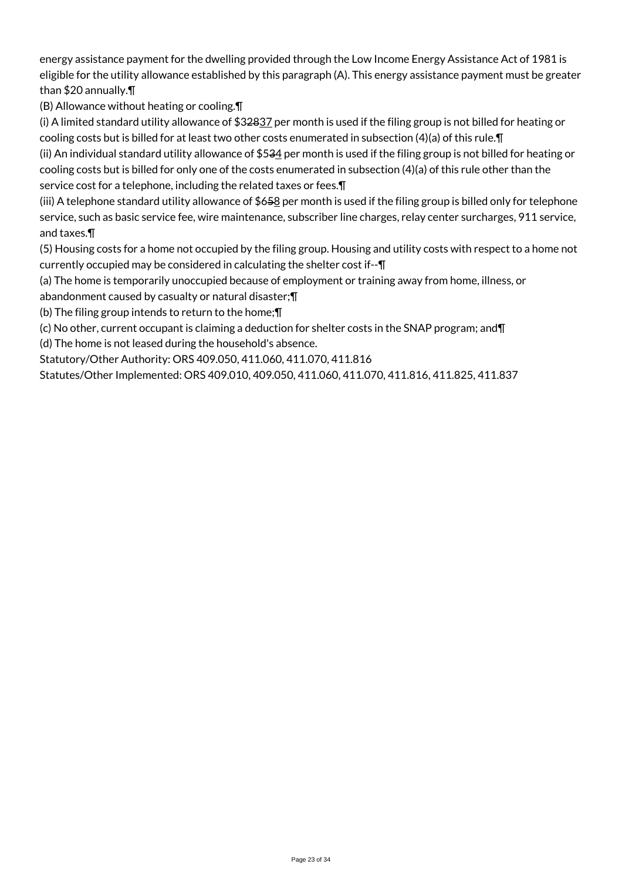energy assistance payment for the dwelling provided through the Low Income Energy Assistance Act of 1981 is eligible for the utility allowance established by this paragraph (A). This energy assistance payment must be greater than \$20 annually.¶

(B) Allowance without heating or cooling.¶

(i) A limited standard utility allowance of  $$32837$  per month is used if the filing group is not billed for heating or cooling costs but is billed for at least two other costs enumerated in subsection (4)(a) of this rule.¶

(ii) An individual standard utility allowance of \$534 per month is used if the filing group is not billed for heating or cooling costs but is billed for only one of the costs enumerated in subsection (4)(a) of this rule other than the service cost for a telephone, including the related taxes or fees.¶

(iii) A telephone standard utility allowance of  $$658$  per month is used if the filing group is billed only for telephone service, such as basic service fee, wire maintenance, subscriber line charges, relay center surcharges, 911 service, and taxes.¶

(5) Housing costs for a home not occupied by the filing group. Housing and utility costs with respect to a home not currently occupied may be considered in calculating the shelter cost if--¶

(a) The home is temporarily unoccupied because of employment or training away from home, illness, or abandonment caused by casualty or natural disaster;¶

(b) The filing group intends to return to the home;¶

(c) No other, current occupant is claiming a deduction for shelter costs in the SNAP program; and¶

(d) The home is not leased during the household's absence.

Statutory/Other Authority: ORS 409.050, 411.060, 411.070, 411.816

Statutes/Other Implemented: ORS 409.010, 409.050, 411.060, 411.070, 411.816, 411.825, 411.837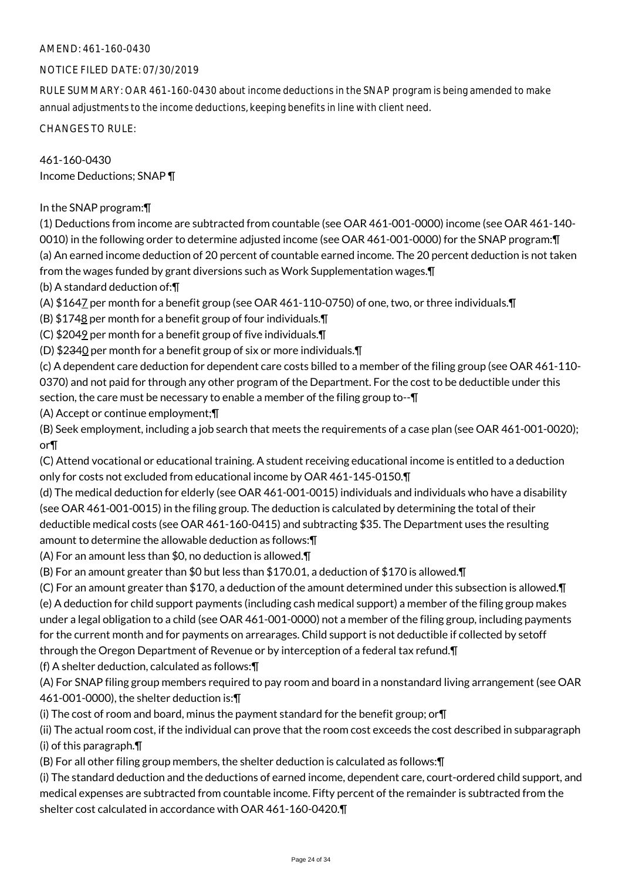# AMEND: 461-160-0430

# NOTICE FILED DATE: 07/30/2019

RULE SUMMARY: OAR 461-160-0430 about income deductions in the SNAP program is being amended to make annual adjustments to the income deductions, keeping benefits in line with client need.

CHANGES TO RULE:

461-160-0430 Income Deductions; SNAP ¶

In the SNAP program:¶

(1) Deductions from income are subtracted from countable (see OAR 461-001-0000) income (see OAR 461-140- 0010) in the following order to determine adjusted income (see OAR 461-001-0000) for the SNAP program:¶ (a) An earned income deduction of 20 percent of countable earned income. The 20 percent deduction is not taken from the wages funded by grant diversions such as Work Supplementation wages.¶

(b) A standard deduction of:¶

(A) \$1647 per month for a benefit group (see OAR 461-110-0750) of one, two, or three individuals.¶

(B)  $$1748$  per month for a benefit group of four individuals. $\P$ 

(C) \$2049 per month for a benefit group of five individuals.¶

(D) \$2340 per month for a benefit group of six or more individuals.¶

(c) A dependent care deduction for dependent care costs billed to a member of the filing group (see OAR 461-110- 0370) and not paid for through any other program of the Department. For the cost to be deductible under this section, the care must be necessary to enable a member of the filing group to-- $\P$ 

(A) Accept or continue employment;¶

(B) Seek employment, including a job search that meets the requirements of a case plan (see OAR 461-001-0020); or¶

(C) Attend vocational or educational training. A student receiving educational income is entitled to a deduction only for costs not excluded from educational income by OAR 461-145-0150.¶

(d) The medical deduction for elderly (see OAR 461-001-0015) individuals and individuals who have a disability (see OAR 461-001-0015) in the filing group. The deduction is calculated by determining the total of their deductible medical costs (see OAR 461-160-0415) and subtracting \$35. The Department uses the resulting amount to determine the allowable deduction as follows:¶

(A) For an amount less than \$0, no deduction is allowed.¶

(B) For an amount greater than \$0 but less than \$170.01, a deduction of \$170 is allowed.¶

(C) For an amount greater than \$170, a deduction of the amount determined under this subsection is allowed.¶ (e) A deduction for child support payments (including cash medical support) a member of the filing group makes under a legal obligation to a child (see OAR 461-001-0000) not a member of the filing group, including payments for the current month and for payments on arrearages. Child support is not deductible if collected by setoff through the Oregon Department of Revenue or by interception of a federal tax refund.¶

(f) A shelter deduction, calculated as follows:¶

(A) For SNAP filing group members required to pay room and board in a nonstandard living arrangement (see OAR 461-001-0000), the shelter deduction is:¶

(i) The cost of room and board, minus the payment standard for the benefit group; or¶

(ii) The actual room cost, if the individual can prove that the room cost exceeds the cost described in subparagraph (i) of this paragraph.¶

(B) For all other filing group members, the shelter deduction is calculated as follows:¶

(i) The standard deduction and the deductions of earned income, dependent care, court-ordered child support, and medical expenses are subtracted from countable income. Fifty percent of the remainder is subtracted from the shelter cost calculated in accordance with OAR 461-160-0420.¶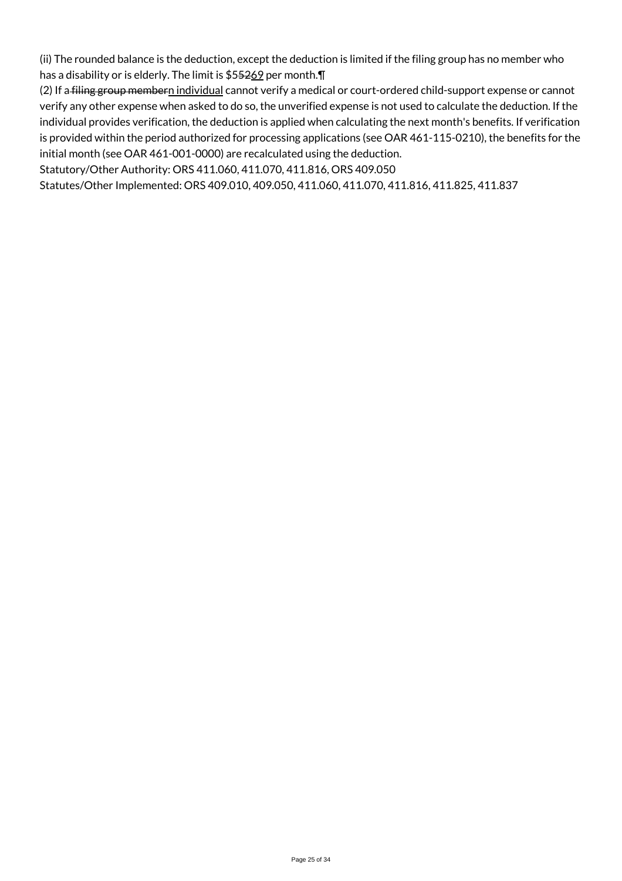(ii) The rounded balance is the deduction, except the deduction is limited if the filing group has no member who has a disability or is elderly. The limit is \$55269 per month.¶

(2) If a filing group membern individual cannot verify a medical or court-ordered child-support expense or cannot verify any other expense when asked to do so, the unverified expense is not used to calculate the deduction. If the individual provides verification, the deduction is applied when calculating the next month's benefits. If verification is provided within the period authorized for processing applications (see OAR 461-115-0210), the benefits for the initial month (see OAR 461-001-0000) are recalculated using the deduction.

Statutory/Other Authority: ORS 411.060, 411.070, 411.816, ORS 409.050

Statutes/Other Implemented: ORS 409.010, 409.050, 411.060, 411.070, 411.816, 411.825, 411.837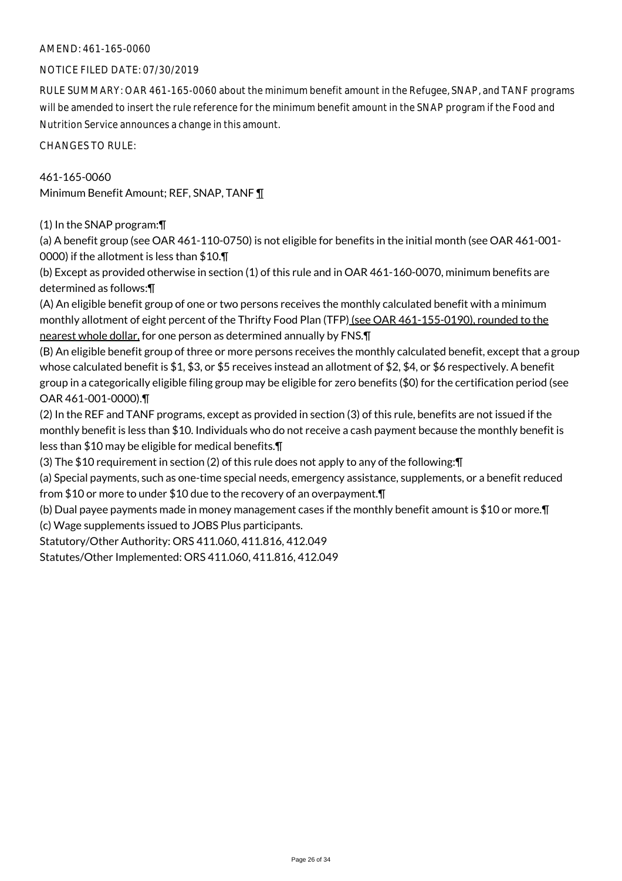#### NOTICE FILED DATE: 07/30/2019

RULE SUMMARY: OAR 461-165-0060 about the minimum benefit amount in the Refugee, SNAP, and TANF programs will be amended to insert the rule reference for the minimum benefit amount in the SNAP program if the Food and Nutrition Service announces a change in this amount.

CHANGES TO RULE:

# 461-165-0060

Minimum Benefit Amount; REF, SNAP, TANF ¶

(1) In the SNAP program:¶

(a) A benefit group (see OAR 461-110-0750) is not eligible for benefits in the initial month (see OAR 461-001- 0000) if the allotment is less than \$10.¶

(b) Except as provided otherwise in section (1) of this rule and in OAR 461-160-0070, minimum benefits are determined as follows:¶

(A) An eligible benefit group of one or two persons receives the monthly calculated benefit with a minimum monthly allotment of eight percent of the Thrifty Food Plan (TFP) (see OAR 461-155-0190), rounded to the nearest whole dollar, for one person as determined annually by FNS. [1]

(B) An eligible benefit group of three or more persons receives the monthly calculated benefit, except that a group whose calculated benefit is \$1, \$3, or \$5 receives instead an allotment of \$2, \$4, or \$6 respectively. A benefit group in a categorically eligible filing group may be eligible for zero benefits (\$0) for the certification period (see OAR 461-001-0000).¶

(2) In the REF and TANF programs, except as provided in section (3) of this rule, benefits are not issued if the monthly benefit is less than \$10. Individuals who do not receive a cash payment because the monthly benefit is less than \$10 may be eligible for medical benefits.¶

(3) The \$10 requirement in section (2) of this rule does not apply to any of the following:¶

(a) Special payments, such as one-time special needs, emergency assistance, supplements, or a benefit reduced from \$10 or more to under \$10 due to the recovery of an overpayment.¶

(b) Dual payee payments made in money management cases if the monthly benefit amount is \$10 or more.¶

(c) Wage supplements issued to JOBS Plus participants.

Statutory/Other Authority: ORS 411.060, 411.816, 412.049

Statutes/Other Implemented: ORS 411.060, 411.816, 412.049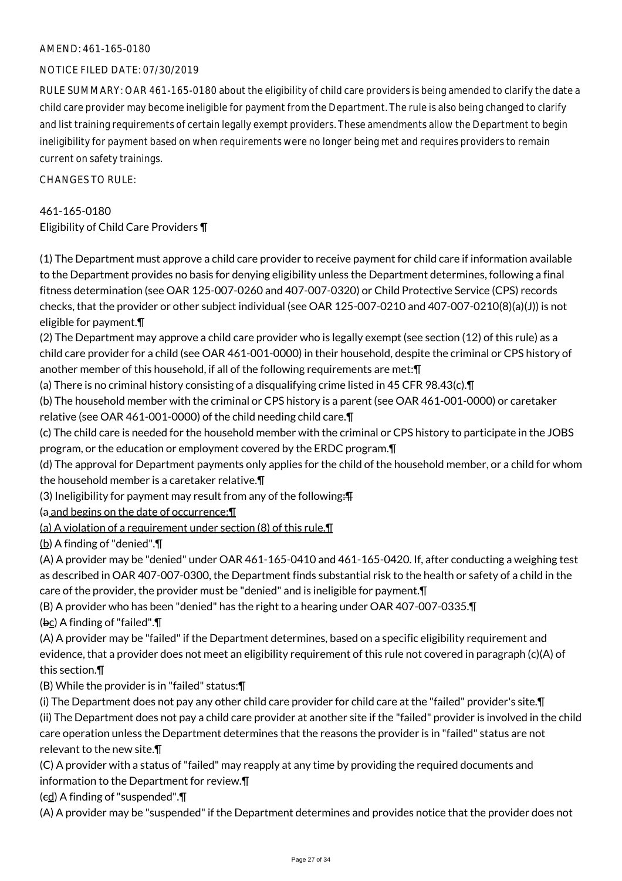## NOTICE FILED DATE: 07/30/2019

RULE SUMMARY: OAR 461-165-0180 about the eligibility of child care providers is being amended to clarify the date a child care provider may become ineligible for payment from the Department. The rule is also being changed to clarify and list training requirements of certain legally exempt providers. These amendments allow the Department to begin ineligibility for payment based on when requirements were no longer being met and requires providers to remain current on safety trainings.

 $CHANGFS TO RIIF$ 

461-165-0180 Eligibility of Child Care Providers ¶

(1) The Department must approve a child care provider to receive payment for child care if information available to the Department provides no basis for denying eligibility unless the Department determines, following a final fitness determination (see OAR 125-007-0260 and 407-007-0320) or Child Protective Service (CPS) records checks, that the provider or other subject individual (see OAR 125-007-0210 and 407-007-0210(8)(a)(J)) is not eligible for payment.¶

(2) The Department may approve a child care provider who is legally exempt (see section (12) of this rule) as a child care provider for a child (see OAR 461-001-0000) in their household, despite the criminal or CPS history of another member of this household, if all of the following requirements are met:¶

(a) There is no criminal history consisting of a disqualifying crime listed in 45 CFR 98.43(c).¶

(b) The household member with the criminal or CPS history is a parent (see OAR 461-001-0000) or caretaker relative (see OAR 461-001-0000) of the child needing child care.¶

(c) The child care is needed for the household member with the criminal or CPS history to participate in the JOBS program, or the education or employment covered by the ERDC program.¶

(d) The approval for Department payments only applies for the child of the household member, or a child for whom the household member is a caretaker relative.¶

(3) Ineligibility for payment may result from any of the following: $\mathbf{F}$ 

 $\theta$  and begins on the date of occurrence:  $\P$ 

(a) A violation of a requirement under section (8) of this rule.¶

(b) A finding of "denied".¶

(A) A provider may be "denied" under OAR 461-165-0410 and 461-165-0420. If, after conducting a weighing test as described in OAR 407-007-0300, the Department finds substantial risk to the health or safety of a child in the care of the provider, the provider must be "denied" and is ineligible for payment.¶

(B) A provider who has been "denied" has the right to a hearing under OAR 407-007-0335.¶  $(bc)$  A finding of "failed". $\P$ 

(A) A provider may be "failed" if the Department determines, based on a specific eligibility requirement and evidence, that a provider does not meet an eligibility requirement of this rule not covered in paragraph (c)(A) of this section.¶

(B) While the provider is in "failed" status:¶

(i) The Department does not pay any other child care provider for child care at the "failed" provider's site.¶ (ii) The Department does not pay a child care provider at another site if the "failed" provider is involved in the child care operation unless the Department determines that the reasons the provider is in "failed" status are not

relevant to the new site.¶

(C) A provider with a status of "failed" may reapply at any time by providing the required documents and information to the Department for review.¶

 $(\epsilon d)$  A finding of "suspended". $\P$ 

(A) A provider may be "suspended" if the Department determines and provides notice that the provider does not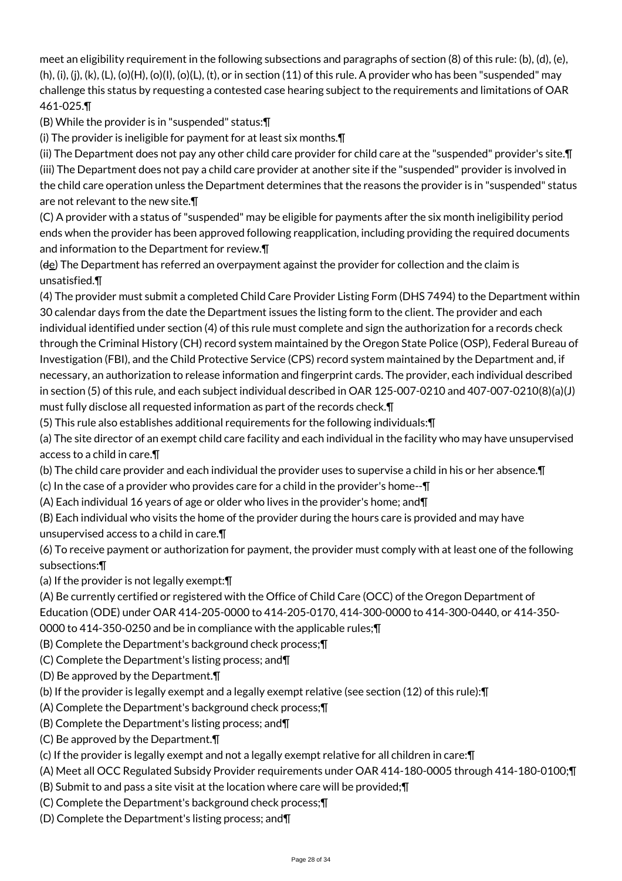meet an eligibility requirement in the following subsections and paragraphs of section (8) of this rule: (b), (d), (e),  $(h), (i), (i), (k), (L), (o)(H), (o)(L), (t), (o)$  and section  $(11)$  of this rule. A provider who has been "suspended" may challenge this status by requesting a contested case hearing subject to the requirements and limitations of OAR 461-025.¶

(B) While the provider is in "suspended" status:¶

(i) The provider is ineligible for payment for at least six months.¶

(ii) The Department does not pay any other child care provider for child care at the "suspended" provider's site.¶ (iii) The Department does not pay a child care provider at another site if the "suspended" provider is involved in the child care operation unless the Department determines that the reasons the provider is in "suspended" status are not relevant to the new site.¶

(C) A provider with a status of "suspended" may be eligible for payments after the six month ineligibility period ends when the provider has been approved following reapplication, including providing the required documents and information to the Department for review.¶

(de) The Department has referred an overpayment against the provider for collection and the claim is unsatisfied.¶

(4) The provider must submit a completed Child Care Provider Listing Form (DHS 7494) to the Department within 30 calendar days from the date the Department issues the listing form to the client. The provider and each individual identified under section (4) of this rule must complete and sign the authorization for a records check through the Criminal History (CH) record system maintained by the Oregon State Police (OSP), Federal Bureau of Investigation (FBI), and the Child Protective Service (CPS) record system maintained by the Department and, if necessary, an authorization to release information and fingerprint cards. The provider, each individual described in section (5) of this rule, and each subject individual described in OAR 125-007-0210 and 407-007-0210(8)(a)(J) must fully disclose all requested information as part of the records check.¶

(5) This rule also establishes additional requirements for the following individuals:¶

(a) The site director of an exempt child care facility and each individual in the facility who may have unsupervised access to a child in care.¶

(b) The child care provider and each individual the provider uses to supervise a child in his or her absence.¶

(c) In the case of a provider who provides care for a child in the provider's home--¶

(A) Each individual 16 years of age or older who lives in the provider's home; and¶

(B) Each individual who visits the home of the provider during the hours care is provided and may have unsupervised access to a child in care.¶

(6) To receive payment or authorization for payment, the provider must comply with at least one of the following subsections:¶

(a) If the provider is not legally exempt:¶

(A) Be currently certified or registered with the Office of Child Care (OCC) of the Oregon Department of Education (ODE) under OAR 414-205-0000 to 414-205-0170, 414-300-0000 to 414-300-0440, or 414-350-

0000 to 414-350-0250 and be in compliance with the applicable rules;¶

- (B) Complete the Department's background check process;¶
- (C) Complete the Department's listing process; and¶
- (D) Be approved by the Department.¶
- (b) If the provider is legally exempt and a legally exempt relative (see section (12) of this rule):¶
- (A) Complete the Department's background check process;¶
- (B) Complete the Department's listing process; and¶
- (C) Be approved by the Department.¶

(c) If the provider is legally exempt and not a legally exempt relative for all children in care:¶

- (A) Meet all OCC Regulated Subsidy Provider requirements under OAR 414-180-0005 through 414-180-0100;¶
- (B) Submit to and pass a site visit at the location where care will be provided;¶
- (C) Complete the Department's background check process;¶
- (D) Complete the Department's listing process; and¶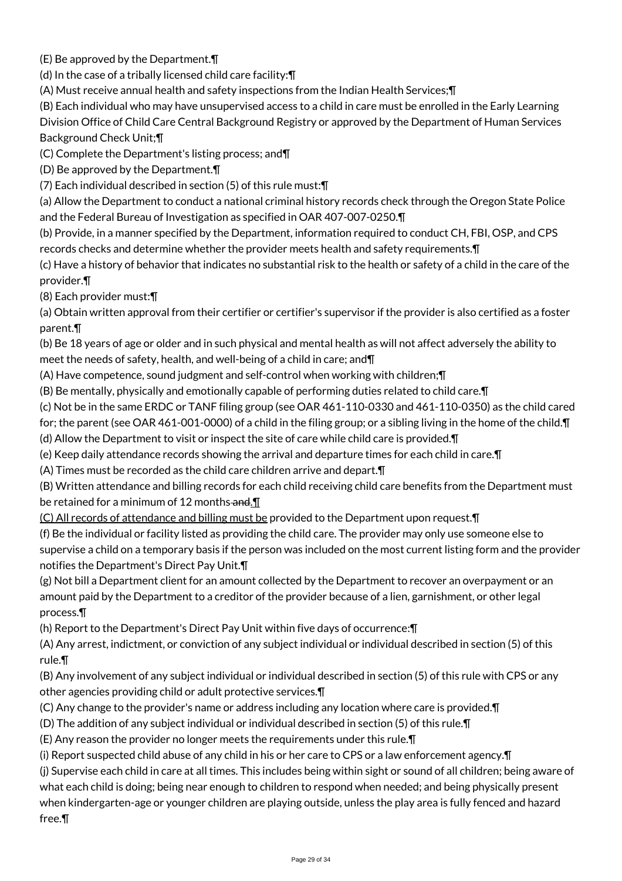(E) Be approved by the Department.¶

(d) In the case of a tribally licensed child care facility:¶

(A) Must receive annual health and safety inspections from the Indian Health Services;¶

(B) Each individual who may have unsupervised access to a child in care must be enrolled in the Early Learning

Division Office of Child Care Central Background Registry or approved by the Department of Human Services Background Check Unit;¶

(C) Complete the Department's listing process; and¶

(D) Be approved by the Department.¶

(7) Each individual described in section (5) of this rule must:¶

(a) Allow the Department to conduct a national criminal history records check through the Oregon State Police and the Federal Bureau of Investigation as specified in OAR 407-007-0250.¶

(b) Provide, in a manner specified by the Department, information required to conduct CH, FBI, OSP, and CPS records checks and determine whether the provider meets health and safety requirements.¶

(c) Have a history of behavior that indicates no substantial risk to the health or safety of a child in the care of the provider.¶

(8) Each provider must:¶

(a) Obtain written approval from their certifier or certifier's supervisor if the provider is also certified as a foster parent.¶

(b) Be 18 years of age or older and in such physical and mental health as will not affect adversely the ability to meet the needs of safety, health, and well-being of a child in care; and¶

(A) Have competence, sound judgment and self-control when working with children;¶

(B) Be mentally, physically and emotionally capable of performing duties related to child care.¶

(c) Not be in the same ERDC or TANF filing group (see OAR 461-110-0330 and 461-110-0350) as the child cared

for; the parent (see OAR 461-001-0000) of a child in the filing group; or a sibling living in the home of the child.¶

(d) Allow the Department to visit or inspect the site of care while child care is provided.¶

(e) Keep daily attendance records showing the arrival and departure times for each child in care.¶

(A) Times must be recorded as the child care children arrive and depart.¶

(B) Written attendance and billing records for each child receiving child care benefits from the Department must be retained for a minimum of 12 months-and.

(C) All records of attendance and billing must be provided to the Department upon request.¶

(f) Be the individual or facility listed as providing the child care. The provider may only use someone else to supervise a child on a temporary basis if the person was included on the most current listing form and the provider notifies the Department's Direct Pay Unit.¶

(g) Not bill a Department client for an amount collected by the Department to recover an overpayment or an amount paid by the Department to a creditor of the provider because of a lien, garnishment, or other legal process.¶

(h) Report to the Department's Direct Pay Unit within five days of occurrence:¶

(A) Any arrest, indictment, or conviction of any subject individual or individual described in section (5) of this rule.¶

(B) Any involvement of any subject individual or individual described in section (5) of this rule with CPS or any other agencies providing child or adult protective services.¶

(C) Any change to the provider's name or address including any location where care is provided.¶

(D) The addition of any subject individual or individual described in section (5) of this rule.¶

(E) Any reason the provider no longer meets the requirements under this rule.¶

(i) Report suspected child abuse of any child in his or her care to CPS or a law enforcement agency.¶

(j) Supervise each child in care at all times. This includes being within sight or sound of all children; being aware of what each child is doing; being near enough to children to respond when needed; and being physically present when kindergarten-age or younger children are playing outside, unless the play area is fully fenced and hazard free.¶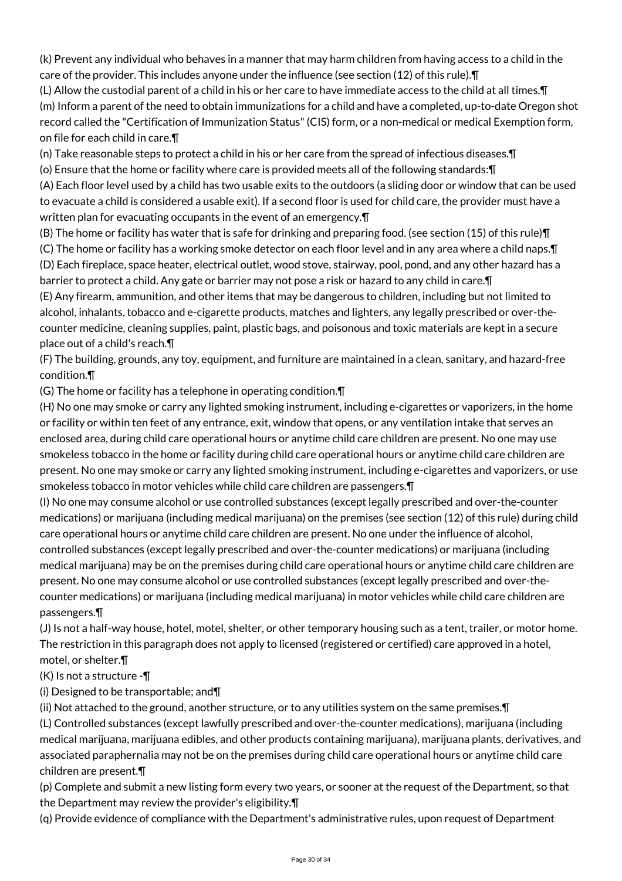(k) Prevent any individual who behaves in a manner that may harm children from having access to a child in the care of the provider. This includes anyone under the influence (see section (12) of this rule).¶

(L) Allow the custodial parent of a child in his or her care to have immediate access to the child at all times.¶ (m) Inform a parent of the need to obtain immunizations for a child and have a completed, up-to-date Oregon shot record called the "Certification of Immunization Status" (CIS) form, or a non-medical or medical Exemption form, on file for each child in care.¶

(n) Take reasonable steps to protect a child in his or her care from the spread of infectious diseases.¶

(o) Ensure that the home or facility where care is provided meets all of the following standards:¶

(A) Each floor level used by a child has two usable exits to the outdoors (a sliding door or window that can be used to evacuate a child is considered a usable exit). If a second floor is used for child care, the provider must have a written plan for evacuating occupants in the event of an emergency.¶

(B) The home or facility has water that is safe for drinking and preparing food. (see section (15) of this rule)¶ (C) The home or facility has a working smoke detector on each floor level and in any area where a child naps.¶ (D) Each fireplace, space heater, electrical outlet, wood stove, stairway, pool, pond, and any other hazard has a

barrier to protect a child. Any gate or barrier may not pose a risk or hazard to any child in care.¶ (E) Any firearm, ammunition, and other items that may be dangerous to children, including but not limited to alcohol, inhalants, tobacco and e-cigarette products, matches and lighters, any legally prescribed or over-thecounter medicine, cleaning supplies, paint, plastic bags, and poisonous and toxic materials are kept in a secure place out of a child's reach.¶

(F) The building, grounds, any toy, equipment, and furniture are maintained in a clean, sanitary, and hazard-free condition.¶

(G) The home or facility has a telephone in operating condition.¶

(H) No one may smoke or carry any lighted smoking instrument, including e-cigarettes or vaporizers, in the home or facility or within ten feet of any entrance, exit, window that opens, or any ventilation intake that serves an enclosed area, during child care operational hours or anytime child care children are present. No one may use smokeless tobacco in the home or facility during child care operational hours or anytime child care children are present. No one may smoke or carry any lighted smoking instrument, including e-cigarettes and vaporizers, or use smokeless tobacco in motor vehicles while child care children are passengers.¶

(I) No one may consume alcohol or use controlled substances (except legally prescribed and over-the-counter medications) or marijuana (including medical marijuana) on the premises (see section (12) of this rule) during child care operational hours or anytime child care children are present. No one under the influence of alcohol, controlled substances (except legally prescribed and over-the-counter medications) or marijuana (including medical marijuana) may be on the premises during child care operational hours or anytime child care children are present. No one may consume alcohol or use controlled substances (except legally prescribed and over-thecounter medications) or marijuana (including medical marijuana) in motor vehicles while child care children are passengers.¶

(J) Is not a half-way house, hotel, motel, shelter, or other temporary housing such as a tent, trailer, or motor home. The restriction in this paragraph does not apply to licensed (registered or certified) care approved in a hotel, motel, or shelter.¶

 $(K)$  is not a structure - $\P$ 

(i) Designed to be transportable; and¶

(ii) Not attached to the ground, another structure, or to any utilities system on the same premises.¶ (L) Controlled substances (except lawfully prescribed and over-the-counter medications), marijuana (including medical marijuana, marijuana edibles, and other products containing marijuana), marijuana plants, derivatives, and associated paraphernalia may not be on the premises during child care operational hours or anytime child care children are present.¶

(p) Complete and submit a new listing form every two years, or sooner at the request of the Department, so that the Department may review the provider's eligibility.¶

(q) Provide evidence of compliance with the Department's administrative rules, upon request of Department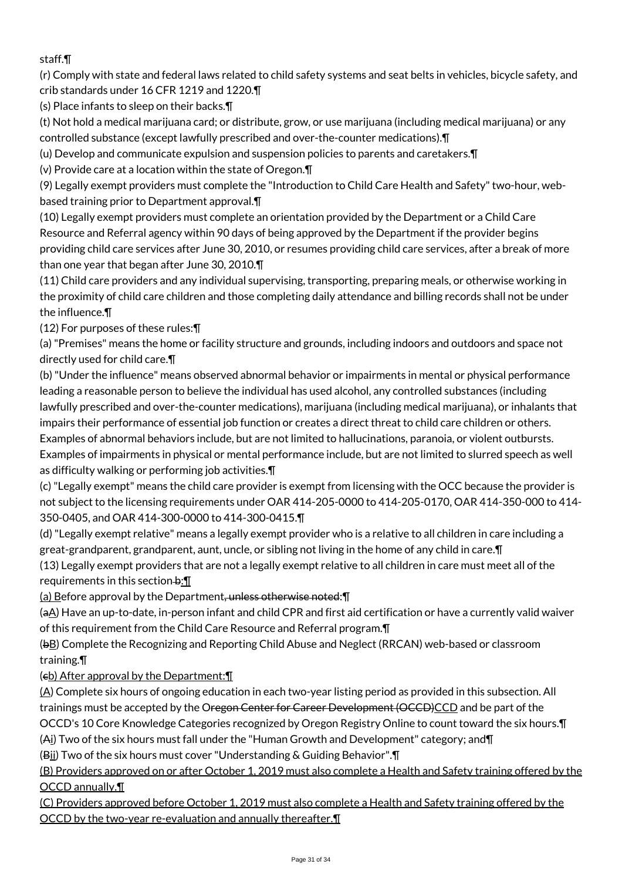# staff.¶

(r) Comply with state and federal laws related to child safety systems and seat belts in vehicles, bicycle safety, and crib standards under 16 CFR 1219 and 1220.¶

(s) Place infants to sleep on their backs.¶

(t) Not hold a medical marijuana card; or distribute, grow, or use marijuana (including medical marijuana) or any controlled substance (except lawfully prescribed and over-the-counter medications).¶

(u) Develop and communicate expulsion and suspension policies to parents and caretakers.¶

(v) Provide care at a location within the state of Oregon.¶

(9) Legally exempt providers must complete the "Introduction to Child Care Health and Safety" two-hour, webbased training prior to Department approval.¶

(10) Legally exempt providers must complete an orientation provided by the Department or a Child Care Resource and Referral agency within 90 days of being approved by the Department if the provider begins providing child care services after June 30, 2010, or resumes providing child care services, after a break of more than one year that began after June 30, 2010.¶

(11) Child care providers and any individual supervising, transporting, preparing meals, or otherwise working in the proximity of child care children and those completing daily attendance and billing records shall not be under the influence.¶

(12) For purposes of these rules:¶

(a) "Premises" means the home or facility structure and grounds, including indoors and outdoors and space not directly used for child care.¶

(b) "Under the influence" means observed abnormal behavior or impairments in mental or physical performance leading a reasonable person to believe the individual has used alcohol, any controlled substances (including lawfully prescribed and over-the-counter medications), marijuana (including medical marijuana), or inhalants that impairs their performance of essential job function or creates a direct threat to child care children or others. Examples of abnormal behaviors include, but are not limited to hallucinations, paranoia, or violent outbursts. Examples of impairments in physical or mental performance include, but are not limited to slurred speech as well as difficulty walking or performing job activities.¶

(c) "Legally exempt" means the child care provider is exempt from licensing with the OCC because the provider is not subject to the licensing requirements under OAR 414-205-0000 to 414-205-0170, OAR 414-350-000 to 414- 350-0405, and OAR 414-300-0000 to 414-300-0415.¶

(d) "Legally exempt relative" means a legally exempt provider who is a relative to all children in care including a great-grandparent, grandparent, aunt, uncle, or sibling not living in the home of any child in care.¶

(13) Legally exempt providers that are not a legally exempt relative to all children in care must meet all of the requirements in this section  $\div\P$ 

(a) Before approval by the Department, unless otherwise noted: [1]

(aA) Have an up-to-date, in-person infant and child CPR and first aid certification or have a currently valid waiver of this requirement from the Child Care Resource and Referral program.¶

(bB) Complete the Recognizing and Reporting Child Abuse and Neglect (RRCAN) web-based or classroom training.¶

# $(e<sub>b</sub>)$  After approval by the Department:  $\P$

(A) Complete six hours of ongoing education in each two-year listing period as provided in this subsection. All trainings must be accepted by the Oregon Center for Career Development (OCCD)CCD and be part of the OCCD's 10 Core Knowledge Categories recognized by Oregon Registry Online to count toward the six hours.¶

(Ai) Two of the six hours must fall under the "Human Growth and Development" category; and¶

(Bii) Two of the six hours must cover "Understanding & Guiding Behavior".¶

(B) Providers approved on or after October 1, 2019 must also complete a Health and Safety training offered by the OCCD annually.¶

(C) Providers approved before October 1, 2019 must also complete a Health and Safety training offered by the OCCD by the two-year re-evaluation and annually thereafter.¶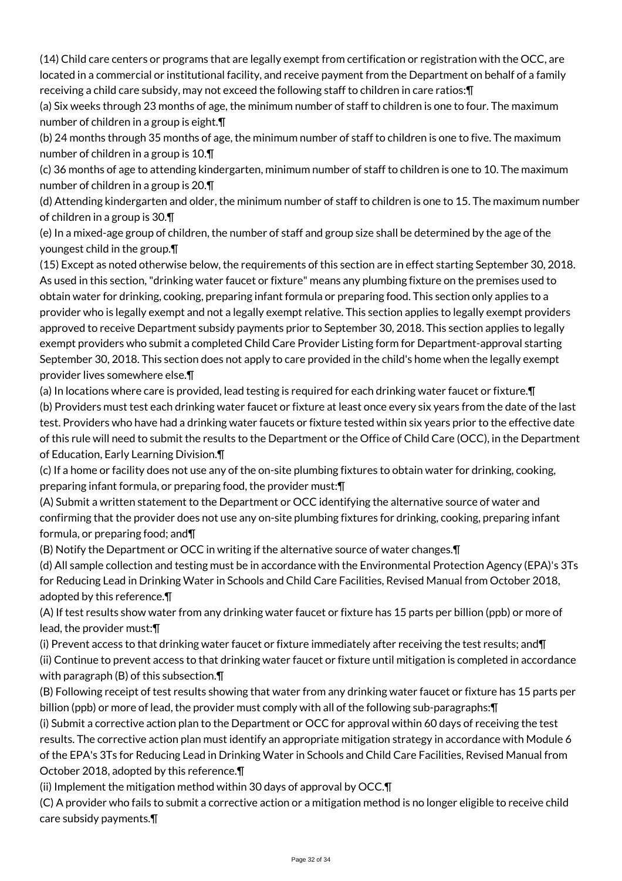(14) Child care centers or programs that are legally exempt from certification or registration with the OCC, are located in a commercial or institutional facility, and receive payment from the Department on behalf of a family receiving a child care subsidy, may not exceed the following staff to children in care ratios:¶

(a) Six weeks through 23 months of age, the minimum number of staff to children is one to four. The maximum number of children in a group is eight.¶

(b) 24 months through 35 months of age, the minimum number of staff to children is one to five. The maximum number of children in a group is 10.¶

(c) 36 months of age to attending kindergarten, minimum number of staff to children is one to 10. The maximum number of children in a group is 20.¶

(d) Attending kindergarten and older, the minimum number of staff to children is one to 15. The maximum number of children in a group is 30.¶

(e) In a mixed-age group of children, the number of staff and group size shall be determined by the age of the youngest child in the group.¶

(15) Except as noted otherwise below, the requirements of this section are in effect starting September 30, 2018. As used in this section, "drinking water faucet or fixture" means any plumbing fixture on the premises used to obtain water for drinking, cooking, preparing infant formula or preparing food. This section only applies to a provider who is legally exempt and not a legally exempt relative. This section applies to legally exempt providers approved to receive Department subsidy payments prior to September 30, 2018. This section applies to legally exempt providers who submit a completed Child Care Provider Listing form for Department-approval starting September 30, 2018. This section does not apply to care provided in the child's home when the legally exempt provider lives somewhere else.¶

(a) In locations where care is provided, lead testing is required for each drinking water faucet or fixture.¶

(b) Providers must test each drinking water faucet or fixture at least once every six years from the date of the last test. Providers who have had a drinking water faucets or fixture tested within six years prior to the effective date of this rule will need to submit the results to the Department or the Office of Child Care (OCC), in the Department of Education, Early Learning Division.¶

(c) If a home or facility does not use any of the on-site plumbing fixtures to obtain water for drinking, cooking, preparing infant formula, or preparing food, the provider must:¶

(A) Submit a written statement to the Department or OCC identifying the alternative source of water and confirming that the provider does not use any on-site plumbing fixtures for drinking, cooking, preparing infant formula, or preparing food; and¶

(B) Notify the Department or OCC in writing if the alternative source of water changes.¶

(d) All sample collection and testing must be in accordance with the Environmental Protection Agency (EPA)'s 3Ts for Reducing Lead in Drinking Water in Schools and Child Care Facilities, Revised Manual from October 2018, adopted by this reference.¶

(A) If test results show water from any drinking water faucet or fixture has 15 parts per billion (ppb) or more of lead, the provider must:¶

(i) Prevent access to that drinking water faucet or fixture immediately after receiving the test results; and¶ (ii) Continue to prevent access to that drinking water faucet or fixture until mitigation is completed in accordance with paragraph (B) of this subsection.¶

(B) Following receipt of test results showing that water from any drinking water faucet or fixture has 15 parts per billion (ppb) or more of lead, the provider must comply with all of the following sub-paragraphs:¶

(i) Submit a corrective action plan to the Department or OCC for approval within 60 days of receiving the test results. The corrective action plan must identify an appropriate mitigation strategy in accordance with Module 6 of the EPA's 3Ts for Reducing Lead in Drinking Water in Schools and Child Care Facilities, Revised Manual from October 2018, adopted by this reference.¶

(ii) Implement the mitigation method within 30 days of approval by OCC.¶

(C) A provider who fails to submit a corrective action or a mitigation method is no longer eligible to receive child care subsidy payments.¶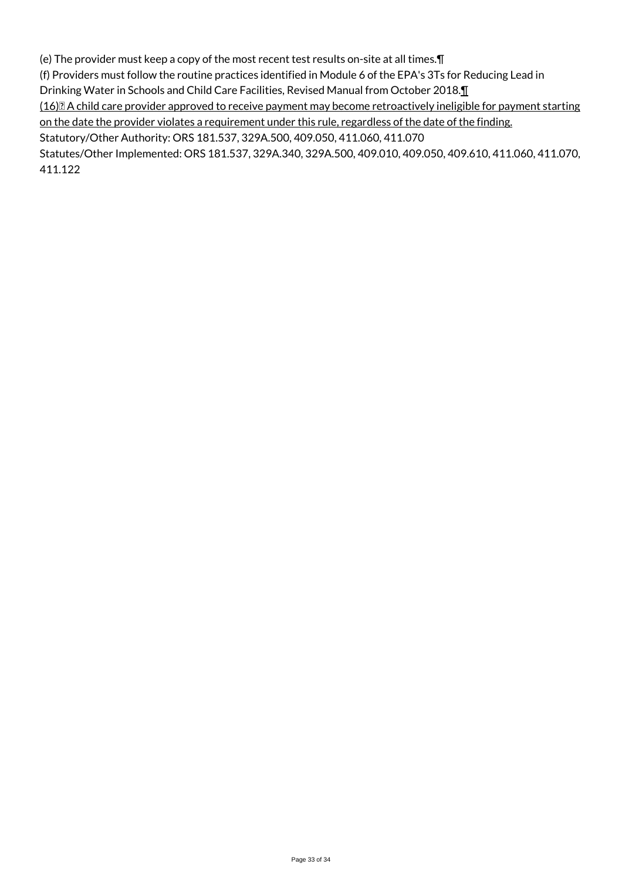(e) The provider must keep a copy of the most recent test results on-site at all times.¶

(f) Providers must follow the routine practices identified in Module 6 of the EPA's 3Ts for Reducing Lead in

Drinking Water in Schools and Child Care Facilities, Revised Manual from October 2018.¶

(16) A child care provider approved to receive payment may become retroactively ineligible for payment starting on the date the provider violates a requirement under this rule, regardless of the date of the finding.

Statutory/Other Authority: ORS 181.537, 329A.500, 409.050, 411.060, 411.070

Statutes/Other Implemented: ORS 181.537, 329A.340, 329A.500, 409.010, 409.050, 409.610, 411.060, 411.070, 411.122